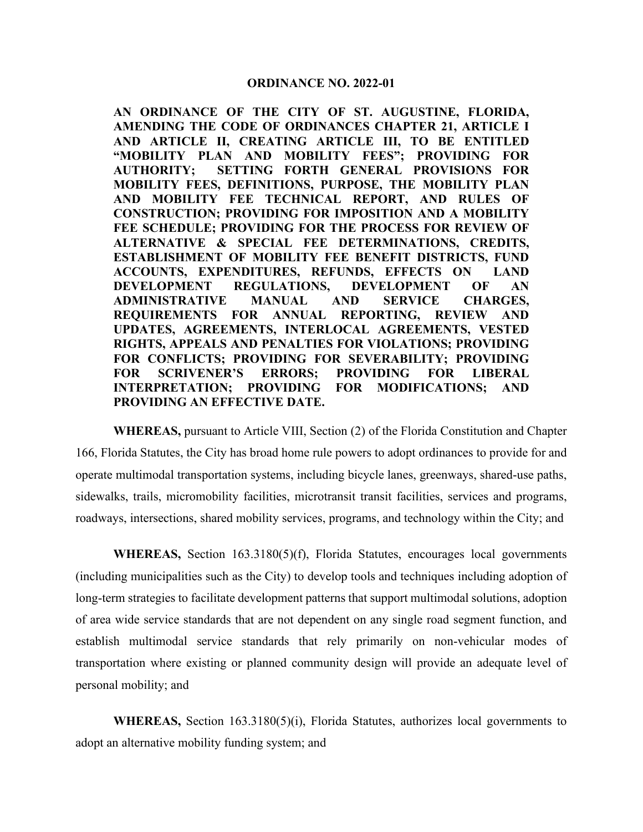**AN ORDINANCE OF THE CITY OF ST. AUGUSTINE, FLORIDA, AMENDING THE CODE OF ORDINANCES CHAPTER 21, ARTICLE I AND ARTICLE II, CREATING ARTICLE III, TO BE ENTITLED "MOBILITY PLAN AND MOBILITY FEES"; PROVIDING FOR AUTHORITY; SETTING FORTH GENERAL PROVISIONS FOR MOBILITY FEES, DEFINITIONS, PURPOSE, THE MOBILITY PLAN AND MOBILITY FEE TECHNICAL REPORT, AND RULES OF CONSTRUCTION; PROVIDING FOR IMPOSITION AND A MOBILITY FEE SCHEDULE; PROVIDING FOR THE PROCESS FOR REVIEW OF ALTERNATIVE & SPECIAL FEE DETERMINATIONS, CREDITS, ESTABLISHMENT OF MOBILITY FEE BENEFIT DISTRICTS, FUND ACCOUNTS, EXPENDITURES, REFUNDS, EFFECTS ON LAND DEVELOPMENT REGULATIONS, DEVELOPMENT OF AN ADMINISTRATIVE MANUAL AND SERVICE CHARGES, REQUIREMENTS FOR ANNUAL REPORTING, REVIEW AND UPDATES, AGREEMENTS, INTERLOCAL AGREEMENTS, VESTED RIGHTS, APPEALS AND PENALTIES FOR VIOLATIONS; PROVIDING FOR CONFLICTS; PROVIDING FOR SEVERABILITY; PROVIDING FOR SCRIVENER'S ERRORS; PROVIDING FOR LIBERAL INTERPRETATION; PROVIDING FOR MODIFICATIONS; AND PROVIDING AN EFFECTIVE DATE.**

**WHEREAS,** pursuant to Article VIII, Section (2) of the Florida Constitution and Chapter 166, Florida Statutes, the City has broad home rule powers to adopt ordinances to provide for and operate multimodal transportation systems, including bicycle lanes, greenways, shared-use paths, sidewalks, trails, micromobility facilities, microtransit transit facilities, services and programs, roadways, intersections, shared mobility services, programs, and technology within the City; and

**WHEREAS,** Section 163.3180(5)(f), Florida Statutes, encourages local governments (including municipalities such as the City) to develop tools and techniques including adoption of long-term strategies to facilitate development patterns that support multimodal solutions, adoption of area wide service standards that are not dependent on any single road segment function, and establish multimodal service standards that rely primarily on non-vehicular modes of transportation where existing or planned community design will provide an adequate level of personal mobility; and

**WHEREAS,** Section 163.3180(5)(i), Florida Statutes, authorizes local governments to adopt an alternative mobility funding system; and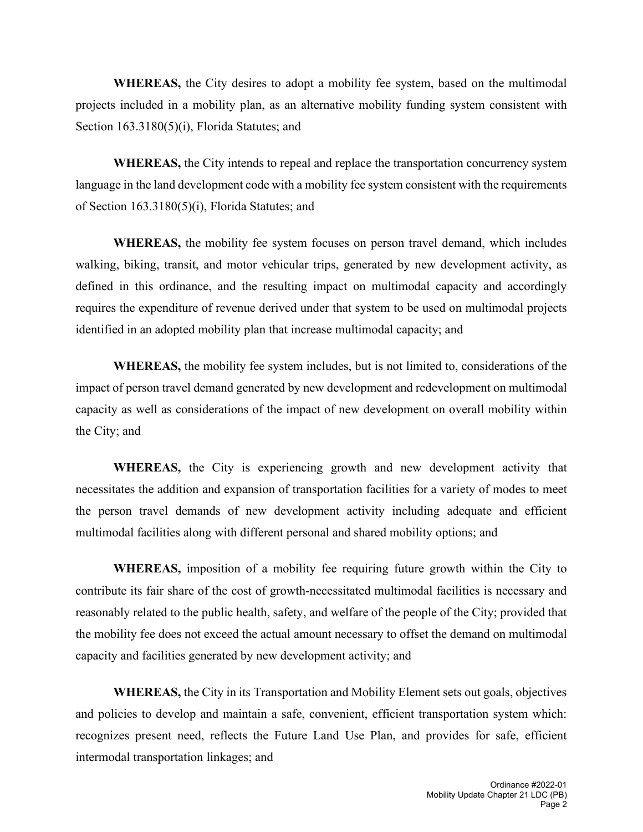**WHEREAS,** the City desires to adopt a mobility fee system, based on the multimodal projects included in a mobility plan, as an alternative mobility funding system consistent with Section 163.3180(5)(i), Florida Statutes; and

**WHEREAS,** the City intends to repeal and replace the transportation concurrency system language in the land development code with a mobility fee system consistent with the requirements of Section 163.3180(5)(i), Florida Statutes; and

**WHEREAS,** the mobility fee system focuses on person travel demand, which includes walking, biking, transit, and motor vehicular trips, generated by new development activity, as defined in this ordinance, and the resulting impact on multimodal capacity and accordingly requires the expenditure of revenue derived under that system to be used on multimodal projects identified in an adopted mobility plan that increase multimodal capacity; and

**WHEREAS,** the mobility fee system includes, but is not limited to, considerations of the impact of person travel demand generated by new development and redevelopment on multimodal capacity as well as considerations of the impact of new development on overall mobility within the City; and

**WHEREAS,** the City is experiencing growth and new development activity that necessitates the addition and expansion of transportation facilities for a variety of modes to meet the person travel demands of new development activity including adequate and efficient multimodal facilities along with different personal and shared mobility options; and

**WHEREAS,** imposition of a mobility fee requiring future growth within the City to contribute its fair share of the cost of growth-necessitated multimodal facilities is necessary and reasonably related to the public health, safety, and welfare of the people of the City; provided that the mobility fee does not exceed the actual amount necessary to offset the demand on multimodal capacity and facilities generated by new development activity; and

**WHEREAS,** the City in its Transportation and Mobility Element sets out goals, objectives and policies to develop and maintain a safe, convenient, efficient transportation system which: recognizes present need, reflects the Future Land Use Plan, and provides for safe, efficient intermodal transportation linkages; and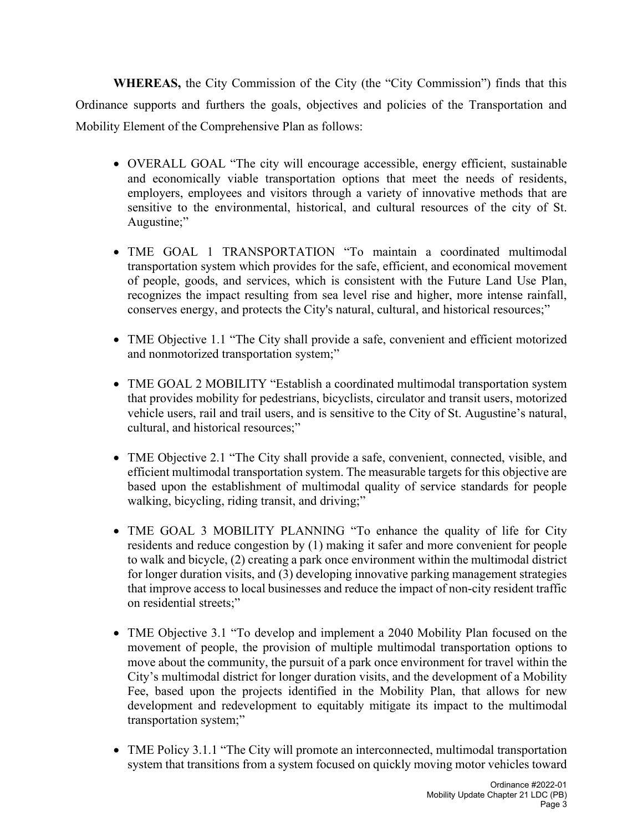**WHEREAS,** the City Commission of the City (the "City Commission") finds that this Ordinance supports and furthers the goals, objectives and policies of the Transportation and Mobility Element of the Comprehensive Plan as follows:

- OVERALL GOAL "The city will encourage accessible, energy efficient, sustainable and economically viable transportation options that meet the needs of residents, employers, employees and visitors through a variety of innovative methods that are sensitive to the environmental, historical, and cultural resources of the city of St. Augustine;"
- TME GOAL 1 TRANSPORTATION "To maintain a coordinated multimodal transportation system which provides for the safe, efficient, and economical movement of people, goods, and services, which is consistent with the Future Land Use Plan, recognizes the impact resulting from sea level rise and higher, more intense rainfall, conserves energy, and protects the City's natural, cultural, and historical resources;"
- TME Objective 1.1 "The City shall provide a safe, convenient and efficient motorized and nonmotorized transportation system;"
- TME GOAL 2 MOBILITY "Establish a coordinated multimodal transportation system that provides mobility for pedestrians, bicyclists, circulator and transit users, motorized vehicle users, rail and trail users, and is sensitive to the City of St. Augustine's natural, cultural, and historical resources;"
- TME Objective 2.1 "The City shall provide a safe, convenient, connected, visible, and efficient multimodal transportation system. The measurable targets for this objective are based upon the establishment of multimodal quality of service standards for people walking, bicycling, riding transit, and driving;"
- TME GOAL 3 MOBILITY PLANNING "To enhance the quality of life for City residents and reduce congestion by (1) making it safer and more convenient for people to walk and bicycle, (2) creating a park once environment within the multimodal district for longer duration visits, and (3) developing innovative parking management strategies that improve access to local businesses and reduce the impact of non-city resident traffic on residential streets;"
- TME Objective 3.1 "To develop and implement a 2040 Mobility Plan focused on the movement of people, the provision of multiple multimodal transportation options to move about the community, the pursuit of a park once environment for travel within the City's multimodal district for longer duration visits, and the development of a Mobility Fee, based upon the projects identified in the Mobility Plan, that allows for new development and redevelopment to equitably mitigate its impact to the multimodal transportation system;"
- TME Policy 3.1.1 "The City will promote an interconnected, multimodal transportation system that transitions from a system focused on quickly moving motor vehicles toward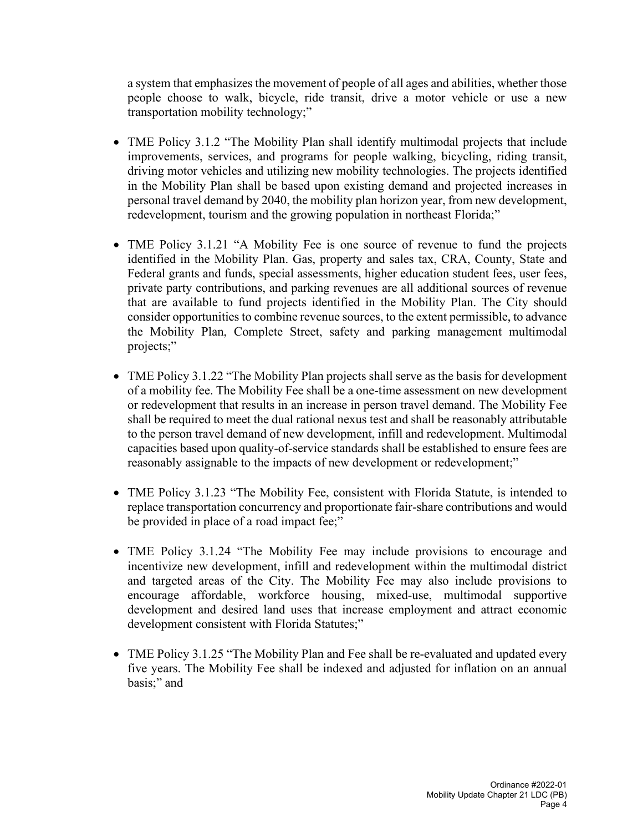a system that emphasizes the movement of people of all ages and abilities, whether those people choose to walk, bicycle, ride transit, drive a motor vehicle or use a new transportation mobility technology;"

- TME Policy 3.1.2 "The Mobility Plan shall identify multimodal projects that include improvements, services, and programs for people walking, bicycling, riding transit, driving motor vehicles and utilizing new mobility technologies. The projects identified in the Mobility Plan shall be based upon existing demand and projected increases in personal travel demand by 2040, the mobility plan horizon year, from new development, redevelopment, tourism and the growing population in northeast Florida;"
- TME Policy 3.1.21 "A Mobility Fee is one source of revenue to fund the projects identified in the Mobility Plan. Gas, property and sales tax, CRA, County, State and Federal grants and funds, special assessments, higher education student fees, user fees, private party contributions, and parking revenues are all additional sources of revenue that are available to fund projects identified in the Mobility Plan. The City should consider opportunities to combine revenue sources, to the extent permissible, to advance the Mobility Plan, Complete Street, safety and parking management multimodal projects;"
- TME Policy 3.1.22 "The Mobility Plan projects shall serve as the basis for development of a mobility fee. The Mobility Fee shall be a one-time assessment on new development or redevelopment that results in an increase in person travel demand. The Mobility Fee shall be required to meet the dual rational nexus test and shall be reasonably attributable to the person travel demand of new development, infill and redevelopment. Multimodal capacities based upon quality-of-service standards shall be established to ensure fees are reasonably assignable to the impacts of new development or redevelopment;"
- TME Policy 3.1.23 "The Mobility Fee, consistent with Florida Statute, is intended to replace transportation concurrency and proportionate fair-share contributions and would be provided in place of a road impact fee;"
- TME Policy 3.1.24 "The Mobility Fee may include provisions to encourage and incentivize new development, infill and redevelopment within the multimodal district and targeted areas of the City. The Mobility Fee may also include provisions to encourage affordable, workforce housing, mixed-use, multimodal supportive development and desired land uses that increase employment and attract economic development consistent with Florida Statutes;"
- TME Policy 3.1.25 "The Mobility Plan and Fee shall be re-evaluated and updated every five years. The Mobility Fee shall be indexed and adjusted for inflation on an annual basis;" and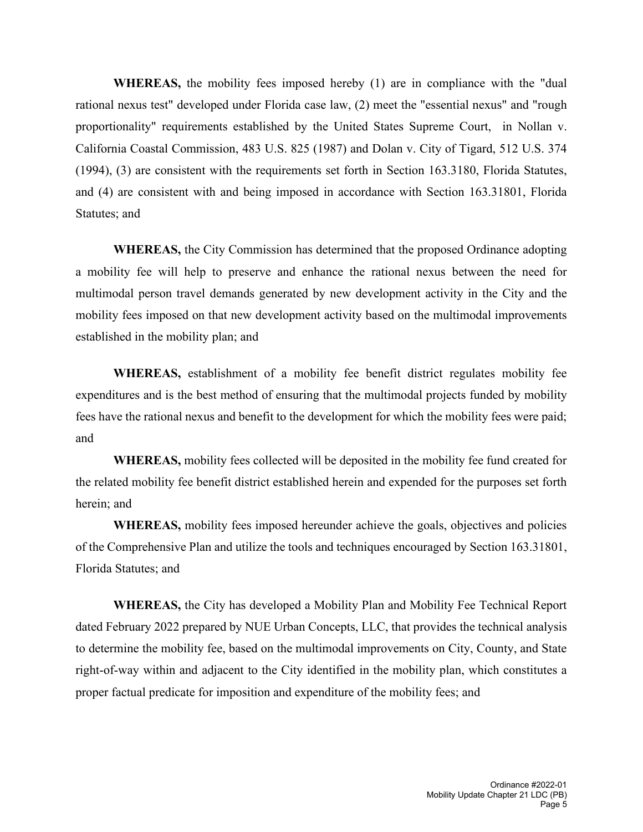**WHEREAS,** the mobility fees imposed hereby (1) are in compliance with the "dual rational nexus test" developed under Florida case law, (2) meet the "essential nexus" and "rough proportionality" requirements established by the United States Supreme Court, in Nollan v. California Coastal Commission, 483 U.S. 825 (1987) and Dolan v. City of Tigard, 512 U.S. 374 (1994), (3) are consistent with the requirements set forth in Section 163.3180, Florida Statutes, and (4) are consistent with and being imposed in accordance with Section 163.31801, Florida Statutes; and

**WHEREAS,** the City Commission has determined that the proposed Ordinance adopting a mobility fee will help to preserve and enhance the rational nexus between the need for multimodal person travel demands generated by new development activity in the City and the mobility fees imposed on that new development activity based on the multimodal improvements established in the mobility plan; and

**WHEREAS,** establishment of a mobility fee benefit district regulates mobility fee expenditures and is the best method of ensuring that the multimodal projects funded by mobility fees have the rational nexus and benefit to the development for which the mobility fees were paid; and

**WHEREAS,** mobility fees collected will be deposited in the mobility fee fund created for the related mobility fee benefit district established herein and expended for the purposes set forth herein; and

**WHEREAS,** mobility fees imposed hereunder achieve the goals, objectives and policies of the Comprehensive Plan and utilize the tools and techniques encouraged by Section 163.31801, Florida Statutes; and

**WHEREAS,** the City has developed a Mobility Plan and Mobility Fee Technical Report dated February 2022 prepared by NUE Urban Concepts, LLC, that provides the technical analysis to determine the mobility fee, based on the multimodal improvements on City, County, and State right-of-way within and adjacent to the City identified in the mobility plan, which constitutes a proper factual predicate for imposition and expenditure of the mobility fees; and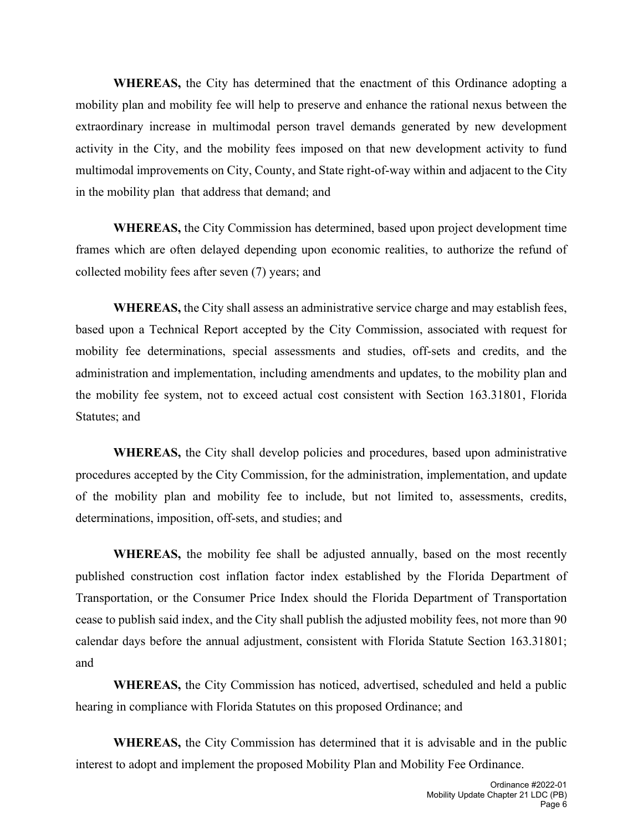**WHEREAS,** the City has determined that the enactment of this Ordinance adopting a mobility plan and mobility fee will help to preserve and enhance the rational nexus between the extraordinary increase in multimodal person travel demands generated by new development activity in the City, and the mobility fees imposed on that new development activity to fund multimodal improvements on City, County, and State right-of-way within and adjacent to the City in the mobility plan that address that demand; and

**WHEREAS,** the City Commission has determined, based upon project development time frames which are often delayed depending upon economic realities, to authorize the refund of collected mobility fees after seven (7) years; and

**WHEREAS,** the City shall assess an administrative service charge and may establish fees, based upon a Technical Report accepted by the City Commission, associated with request for mobility fee determinations, special assessments and studies, off-sets and credits, and the administration and implementation, including amendments and updates, to the mobility plan and the mobility fee system, not to exceed actual cost consistent with Section 163.31801, Florida Statutes; and

**WHEREAS,** the City shall develop policies and procedures, based upon administrative procedures accepted by the City Commission, for the administration, implementation, and update of the mobility plan and mobility fee to include, but not limited to, assessments, credits, determinations, imposition, off-sets, and studies; and

**WHEREAS,** the mobility fee shall be adjusted annually, based on the most recently published construction cost inflation factor index established by the Florida Department of Transportation, or the Consumer Price Index should the Florida Department of Transportation cease to publish said index, and the City shall publish the adjusted mobility fees, not more than 90 calendar days before the annual adjustment, consistent with Florida Statute Section 163.31801; and

**WHEREAS,** the City Commission has noticed, advertised, scheduled and held a public hearing in compliance with Florida Statutes on this proposed Ordinance; and

**WHEREAS,** the City Commission has determined that it is advisable and in the public interest to adopt and implement the proposed Mobility Plan and Mobility Fee Ordinance.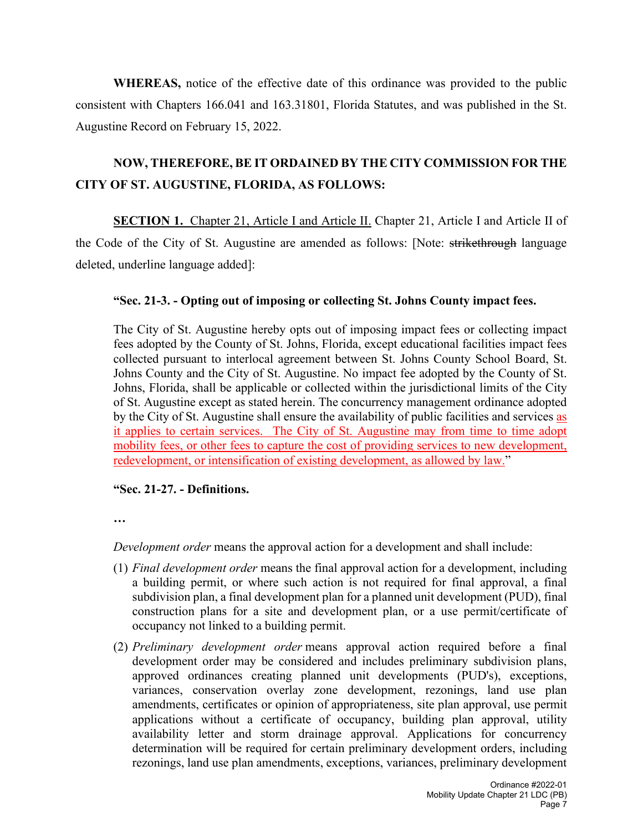**WHEREAS,** notice of the effective date of this ordinance was provided to the public consistent with Chapters 166.041 and 163.31801, Florida Statutes, and was published in the St. Augustine Record on February 15, 2022.

# **NOW, THEREFORE, BE IT ORDAINED BY THE CITY COMMISSION FOR THE CITY OF ST. AUGUSTINE, FLORIDA, AS FOLLOWS:**

**SECTION 1.** Chapter 21, Article I and Article II. Chapter 21, Article I and Article II of the Code of the City of St. Augustine are amended as follows: [Note: strikethrough language deleted, underline language added]:

#### **"Sec. 21-3. - Opting out of imposing or collecting St. Johns County impact fees.**

The City of St. Augustine hereby opts out of imposing impact fees or collecting impact fees adopted by the County of St. Johns, Florida, except educational facilities impact fees collected pursuant to interlocal agreement between St. Johns County School Board, St. Johns County and the City of St. Augustine. No impact fee adopted by the County of St. Johns, Florida, shall be applicable or collected within the jurisdictional limits of the City of St. Augustine except as stated herein. The concurrency management ordinance adopted by the City of St. Augustine shall ensure the availability of public facilities and services as it applies to certain services. The City of St. Augustine may from time to time adopt mobility fees, or other fees to capture the cost of providing services to new development, redevelopment, or intensification of existing development, as allowed by law."

#### **"Sec. 21-27. - Definitions.**

**…**

*Development order* means the approval action for a development and shall include:

- (1) *Final development order* means the final approval action for a development, including a building permit, or where such action is not required for final approval, a final subdivision plan, a final development plan for a planned unit development (PUD), final construction plans for a site and development plan, or a use permit/certificate of occupancy not linked to a building permit.
- (2) *Preliminary development order* means approval action required before a final development order may be considered and includes preliminary subdivision plans, approved ordinances creating planned unit developments (PUD's), exceptions, variances, conservation overlay zone development, rezonings, land use plan amendments, certificates or opinion of appropriateness, site plan approval, use permit applications without a certificate of occupancy, building plan approval, utility availability letter and storm drainage approval. Applications for concurrency determination will be required for certain preliminary development orders, including rezonings, land use plan amendments, exceptions, variances, preliminary development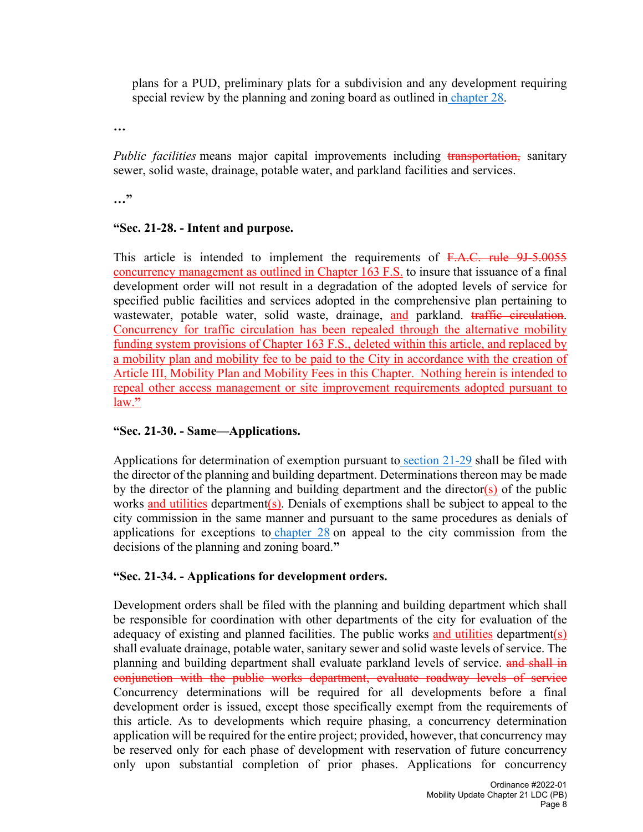plans for a PUD, preliminary plats for a subdivision and any development requiring special review by the planning and zoning board as outlined in [chapter 28.](https://library.municode.com/fl/st._augustine/codes/code_of_ordinances?nodeId=PTIICOOR_CH28ZO)

**…**

*Public facilities* means major capital improvements including transportation, sanitary sewer, solid waste, drainage, potable water, and parkland facilities and services.

**…"**

#### **"Sec. 21-28. - Intent and purpose.**

This article is intended to implement the requirements of F.A.C. rule 9J-5.0055 concurrency management as outlined in Chapter 163 F.S. to insure that issuance of a final development order will not result in a degradation of the adopted levels of service for specified public facilities and services adopted in the comprehensive plan pertaining to wastewater, potable water, solid waste, drainage, and parkland. traffic circulation. Concurrency for traffic circulation has been repealed through the alternative mobility funding system provisions of Chapter 163 F.S., deleted within this article, and replaced by a mobility plan and mobility fee to be paid to the City in accordance with the creation of Article III, Mobility Plan and Mobility Fees in this Chapter. Nothing herein is intended to repeal other access management or site improvement requirements adopted pursuant to law.**"**

#### **"Sec. 21-30. - Same—Applications.**

Applications for determination of exemption pursuant to [section 21-29](https://library.municode.com/fl/st._augustine/codes/code_of_ordinances?nodeId=PTIICOOR_CH21PLDE_ARTIICOMA_S21-29EXEN) shall be filed with the director of the planning and building department. Determinations thereon may be made by the director of the planning and building department and the director( $s$ ) of the public works and utilities department(s). Denials of exemptions shall be subject to appeal to the city commission in the same manner and pursuant to the same procedures as denials of applications for exceptions to [chapter 28](https://library.municode.com/fl/st._augustine/codes/code_of_ordinances?nodeId=PTIICOOR_CH28ZO) on appeal to the city commission from the decisions of the planning and zoning board.**"**

#### **"Sec. 21-34. - Applications for development orders.**

Development orders shall be filed with the planning and building department which shall be responsible for coordination with other departments of the city for evaluation of the adequacy of existing and planned facilities. The public works and utilities department(s) shall evaluate drainage, potable water, sanitary sewer and solid waste levels of service. The planning and building department shall evaluate parkland levels of service. and shall in conjunction with the public works department, evaluate roadway levels of service Concurrency determinations will be required for all developments before a final development order is issued, except those specifically exempt from the requirements of this article. As to developments which require phasing, a concurrency determination application will be required for the entire project; provided, however, that concurrency may be reserved only for each phase of development with reservation of future concurrency only upon substantial completion of prior phases. Applications for concurrency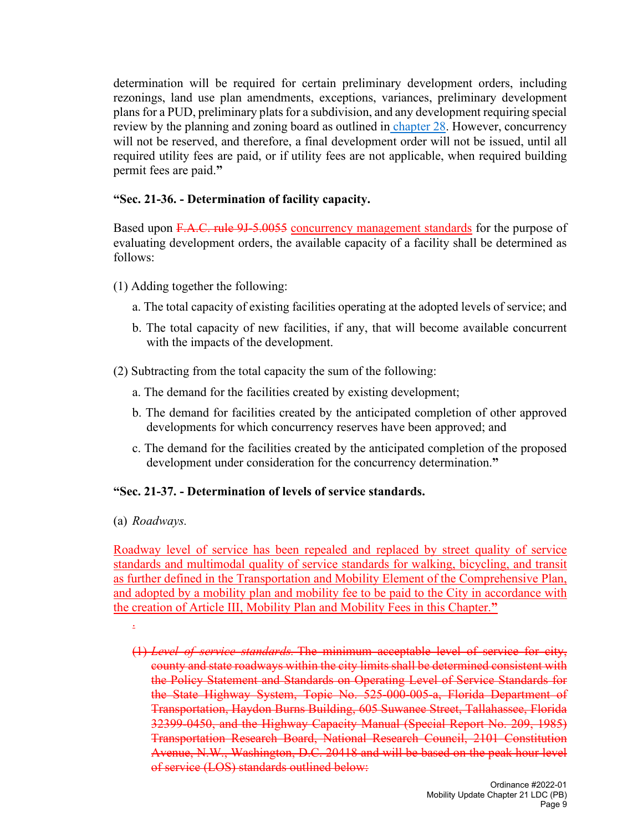determination will be required for certain preliminary development orders, including rezonings, land use plan amendments, exceptions, variances, preliminary development plans for a PUD, preliminary plats for a subdivision, and any development requiring special review by the planning and zoning board as outlined in [chapter 28.](https://library.municode.com/fl/st._augustine/codes/code_of_ordinances?nodeId=PTIICOOR_CH28ZO) However, concurrency will not be reserved, and therefore, a final development order will not be issued, until all required utility fees are paid, or if utility fees are not applicable, when required building permit fees are paid.**"**

#### **"Sec. 21-36. - Determination of facility capacity.**

Based upon F.A.C. rule 9J-5.0055 concurrency management standards for the purpose of evaluating development orders, the available capacity of a facility shall be determined as follows:

- (1) Adding together the following:
	- a. The total capacity of existing facilities operating at the adopted levels of service; and
	- b. The total capacity of new facilities, if any, that will become available concurrent with the impacts of the development.
- (2) Subtracting from the total capacity the sum of the following:
	- a. The demand for the facilities created by existing development;
	- b. The demand for facilities created by the anticipated completion of other approved developments for which concurrency reserves have been approved; and
	- c. The demand for the facilities created by the anticipated completion of the proposed development under consideration for the concurrency determination.**"**

#### **"Sec. 21-37. - Determination of levels of service standards.**

(a) *Roadways.*

Roadway level of service has been repealed and replaced by street quality of service standards and multimodal quality of service standards for walking, bicycling, and transit as further defined in the Transportation and Mobility Element of the Comprehensive Plan, and adopted by a mobility plan and mobility fee to be paid to the City in accordance with the creation of Article III, Mobility Plan and Mobility Fees in this Chapter.**"**

- .
- (1) *Level of service standards.* The minimum acceptable level of service for city, county and state roadways within the city limits shall be determined consistent with the Policy Statement and Standards on Operating Level of Service Standards for the State Highway System, Topic No. 525-000-005-a, Florida Department of Transportation, Haydon Burns Building, 605 Suwanee Street, Tallahassee, Florida 32399-0450, and the Highway Capacity Manual (Special Report No. 209, 1985) Transportation Research Board, National Research Council, 2101 Constitution Avenue, N.W., Washington, D.C. 20418 and will be based on the peak hour level of service (LOS) standards outlined below: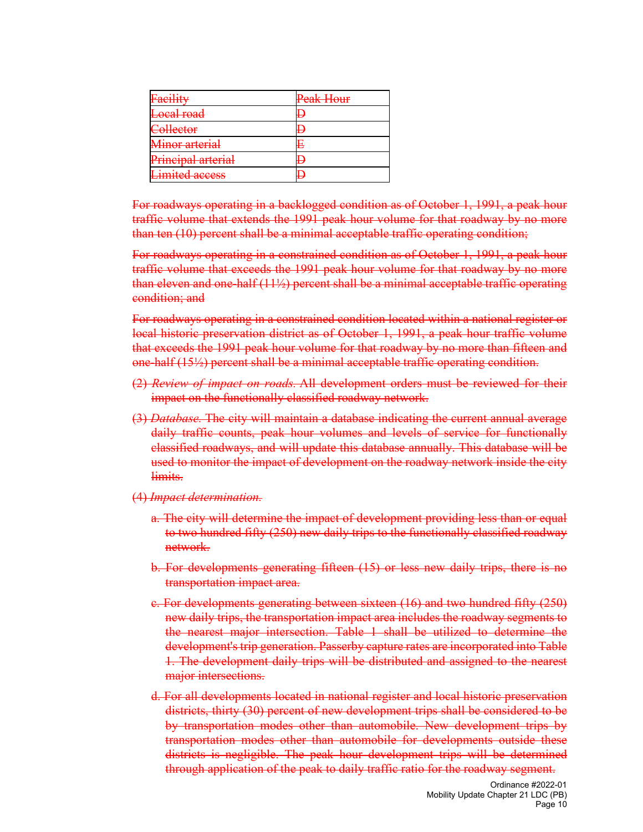| Facility              | Peak Hour |
|-----------------------|-----------|
| Local road            | ь         |
| Collector             | ┺         |
| Minor arterial        | E         |
| Principal arterial    | Ь         |
| <b>Limited access</b> | L         |

For roadways operating in a backlogged condition as of October 1, 1991, a peak hour traffic volume that extends the 1991 peak hour volume for that roadway by no more than ten (10) percent shall be a minimal acceptable traffic operating condition;

For roadways operating in a constrained condition as of October 1, 1991, a peak hour traffic volume that exceeds the 1991 peak hour volume for that roadway by no more than eleven and one-half (11½) percent shall be a minimal acceptable traffic operating condition; and

For roadways operating in a constrained condition located within a national register or local historic preservation district as of October 1, 1991, a peak hour traffic volume that exceeds the 1991 peak hour volume for that roadway by no more than fifteen and one-half (15½) percent shall be a minimal acceptable traffic operating condition.

- (2) *Review of impact on roads.* All development orders must be reviewed for their impact on the functionally classified roadway network.
- (3) *Database.* The city will maintain a database indicating the current annual average daily traffic counts, peak hour volumes and levels of service for functionally classified roadways, and will update this database annually. This database will be used to monitor the impact of development on the roadway network inside the city limits.
- (4) *Impact determination.*
	- a. The city will determine the impact of development providing less than or equal to two hundred fifty (250) new daily trips to the functionally classified roadway network.
	- b. For developments generating fifteen (15) or less new daily trips, there is no transportation impact area.
	- c. For developments generating between sixteen (16) and two hundred fifty (250) new daily trips, the transportation impact area includes the roadway segments to the nearest major intersection. Table 1 shall be utilized to determine the development's trip generation. Passerby capture rates are incorporated into Table 1. The development daily trips will be distributed and assigned to the nearest major intersections.
	- d. For all developments located in national register and local historic preservation districts, thirty (30) percent of new development trips shall be considered to be by transportation modes other than automobile. New development trips by transportation modes other than automobile for developments outside these districts is negligible. The peak hour development trips will be determined through application of the peak to daily traffic ratio for the roadway segment.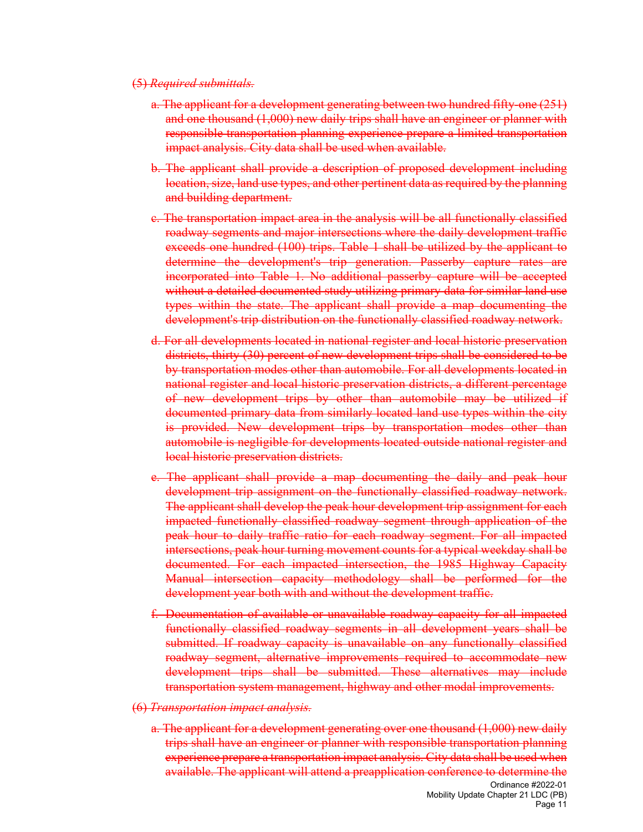#### (5) *Required submittals.*

- a. The applicant for a development generating between two hundred fifty-one (251) and one thousand (1,000) new daily trips shall have an engineer or planner with responsible transportation planning experience prepare a limited transportation impact analysis. City data shall be used when available.
- b. The applicant shall provide a description of proposed development including location, size, land use types, and other pertinent data as required by the planning and building department.
- c. The transportation impact area in the analysis will be all functionally classified roadway segments and major intersections where the daily development traffic exceeds one hundred (100) trips. Table 1 shall be utilized by the applicant to determine the development's trip generation. Passerby capture rates are incorporated into Table 1. No additional passerby capture will be accepted without a detailed documented study utilizing primary data for similar land use types within the state. The applicant shall provide a map documenting the development's trip distribution on the functionally classified roadway network.
- d. For all developments located in national register and local historic preservation districts, thirty (30) percent of new development trips shall be considered to be by transportation modes other than automobile. For all developments located in national register and local historic preservation districts, a different percentage of new development trips by other than automobile may be utilized if documented primary data from similarly located land use types within the city is provided. New development trips by transportation modes other than automobile is negligible for developments located outside national register and local historic preservation districts.
- e. The applicant shall provide a map documenting the daily and peak hour development trip assignment on the functionally classified roadway network. The applicant shall develop the peak hour development trip assignment for each impacted functionally classified roadway segment through application of the peak hour to daily traffic ratio for each roadway segment. For all impacted intersections, peak hour turning movement counts for a typical weekday shall be documented. For each impacted intersection, the 1985 Highway Capacity Manual intersection capacity methodology shall be performed for the development year both with and without the development traffic.
- f. Documentation of available or unavailable roadway capacity for all impacted functionally classified roadway segments in all development years shall be submitted. If roadway capacity is unavailable on any functionally classified roadway segment, alternative improvements required to accommodate new development trips shall be submitted. These alternatives may include transportation system management, highway and other modal improvements.
- (6) *Transportation impact analysis.*
	- a. The applicant for a development generating over one thousand (1,000) new daily trips shall have an engineer or planner with responsible transportation planning experience prepare a transportation impact analysis. City data shall be used when available. The applicant will attend a preapplication conference to determine the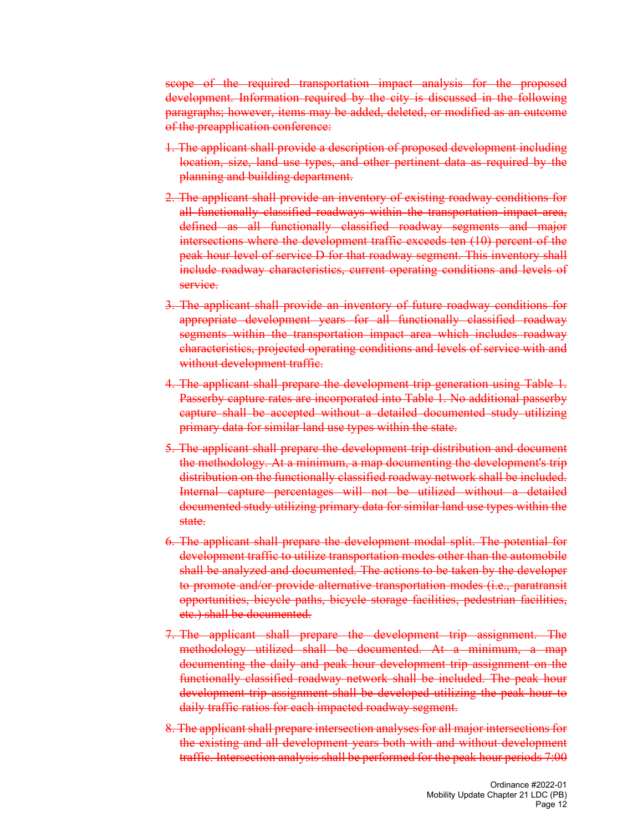scope of the required transportation impact analysis for the proposed development. Information required by the city is discussed in the following paragraphs; however, items may be added, deleted, or modified as an outcome of the preapplication conference:

- 1. The applicant shall provide a description of proposed development including location, size, land use types, and other pertinent data as required by the planning and building department.
- 2. The applicant shall provide an inventory of existing roadway conditions for all functionally classified roadways within the transportation impact area, defined as all functionally classified roadway segments and major intersections where the development traffic exceeds ten (10) percent of the peak hour level of service D for that roadway segment. This inventory shall include roadway characteristics, current operating conditions and levels of service.
- 3. The applicant shall provide an inventory of future roadway conditions for appropriate development years for all functionally classified roadway segments within the transportation impact area which includes roadway characteristics, projected operating conditions and levels of service with and without development traffic.
- 4. The applicant shall prepare the development trip generation using Table 1. Passerby capture rates are incorporated into Table 1. No additional passerby capture shall be accepted without a detailed documented study utilizing primary data for similar land use types within the state.
- 5. The applicant shall prepare the development trip distribution and document the methodology. At a minimum, a map documenting the development's trip distribution on the functionally classified roadway network shall be included. Internal capture percentages will not be utilized without a detailed documented study utilizing primary data for similar land use types within the state.
- 6. The applicant shall prepare the development modal split. The potential for development traffic to utilize transportation modes other than the automobile shall be analyzed and documented. The actions to be taken by the developer to promote and/or provide alternative transportation modes (i.e., paratransit opportunities, bicycle paths, bicycle storage facilities, pedestrian facilities, etc.) shall be documented.
- 7. The applicant shall prepare the development trip assignment. The methodology utilized shall be documented. At a minimum, a map documenting the daily and peak hour development trip assignment on the functionally classified roadway network shall be included. The peak hour development trip assignment shall be developed utilizing the peak hour to daily traffic ratios for each impacted roadway segment.
- 8. The applicant shall prepare intersection analyses for all major intersections for the existing and all development years both with and without development traffic. Intersection analysis shall be performed for the peak hour periods 7:00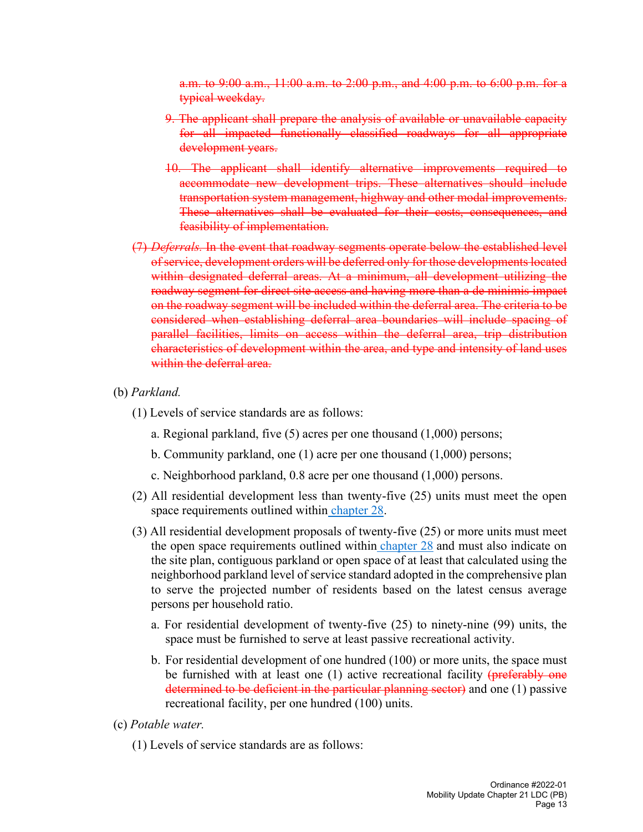a.m. to 9:00 a.m., 11:00 a.m. to 2:00 p.m., and 4:00 p.m. to 6:00 p.m. for a typical weekday.

- 9. The applicant shall prepare the analysis of available or unavailable capacity for all impacted functionally classified roadways for all appropriate development years.
- 10. The applicant shall identify alternative improvements required to accommodate new development trips. These alternatives should include transportation system management, highway and other modal improvements. These alternatives shall be evaluated for their costs, consequences, and feasibility of implementation.
- (7) *Deferrals.* In the event that roadway segments operate below the established level of service, development orders will be deferred only for those developments located within designated deferral areas. At a minimum, all development utilizing the roadway segment for direct site access and having more than a de minimis impact on the roadway segment will be included within the deferral area. The criteria to be considered when establishing deferral area boundaries will include spacing of parallel facilities, limits on access within the deferral area, trip distribution characteristics of development within the area, and type and intensity of land uses within the deferral area.
- (b) *Parkland.*
	- (1) Levels of service standards are as follows:
		- a. Regional parkland, five (5) acres per one thousand (1,000) persons;
		- b. Community parkland, one (1) acre per one thousand (1,000) persons;
		- c. Neighborhood parkland, 0.8 acre per one thousand (1,000) persons.
	- (2) All residential development less than twenty-five (25) units must meet the open space requirements outlined within [chapter 28.](https://library.municode.com/fl/st._augustine/codes/code_of_ordinances?nodeId=PTIICOOR_CH28ZO)
	- (3) All residential development proposals of twenty-five (25) or more units must meet the open space requirements outlined within [chapter 28](https://library.municode.com/fl/st._augustine/codes/code_of_ordinances?nodeId=PTIICOOR_CH28ZO) and must also indicate on the site plan, contiguous parkland or open space of at least that calculated using the neighborhood parkland level of service standard adopted in the comprehensive plan to serve the projected number of residents based on the latest census average persons per household ratio.
		- a. For residential development of twenty-five (25) to ninety-nine (99) units, the space must be furnished to serve at least passive recreational activity.
		- b. For residential development of one hundred (100) or more units, the space must be furnished with at least one  $(1)$  active recreational facility ( $\frac{perferably one}{perferably one}$ determined to be deficient in the particular planning sector) and one (1) passive recreational facility, per one hundred (100) units.
- (c) *Potable water.*
	- (1) Levels of service standards are as follows: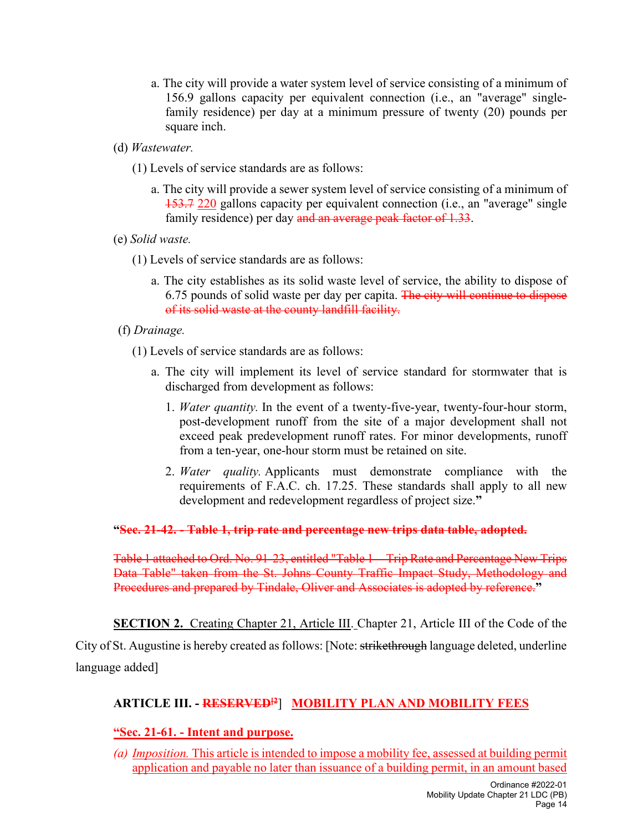- a. The city will provide a water system level of service consisting of a minimum of 156.9 gallons capacity per equivalent connection (i.e., an "average" singlefamily residence) per day at a minimum pressure of twenty (20) pounds per square inch.
- (d) *Wastewater.*
	- (1) Levels of service standards are as follows:
		- a. The city will provide a sewer system level of service consisting of a minimum of 153.7 220 gallons capacity per equivalent connection (i.e., an "average" single family residence) per day and an average peak factor of 1.33.
- (e) *Solid waste.*
	- (1) Levels of service standards are as follows:
		- a. The city establishes as its solid waste level of service, the ability to dispose of 6.75 pounds of solid waste per day per capita. The city will continue to dispose of its solid waste at the county landfill facility.
- (f) *Drainage.*
	- (1) Levels of service standards are as follows:
		- a. The city will implement its level of service standard for stormwater that is discharged from development as follows:
			- 1. *Water quantity.* In the event of a twenty-five-year, twenty-four-hour storm, post-development runoff from the site of a major development shall not exceed peak predevelopment runoff rates. For minor developments, runoff from a ten-year, one-hour storm must be retained on site.
			- 2. *Water quality.* Applicants must demonstrate compliance with the requirements of F.A.C. ch. 17.25. These standards shall apply to all new development and redevelopment regardless of project size.**"**

#### **"Sec. 21-42. - Table 1, trip rate and percentage new trips data table, adopted.**

Table 1 attached to Ord. No. 91-23, entitled "Table 1—Trip Rate and Percentage New Trips Data Table" taken from the St. Johns County Traffic Impact Study, Methodology and Procedures and prepared by Tindale, Oliver and Associates is adopted by reference.**"**

**SECTION 2.** Creating Chapter 21, Article III. Chapter 21, Article III of the Code of the City of St. Augustine is hereby created as follows: [Note: strikethrough language deleted, underline language added]

### **ARTICLE III. - RESERVED[2**] **MOBILITY PLAN AND MOBILITY FEES**

#### **"Sec. 21-61. - Intent and purpose.**

*(a) Imposition.* This article is intended to impose a mobility fee, assessed at building permit application and payable no later than issuance of a building permit, in an amount based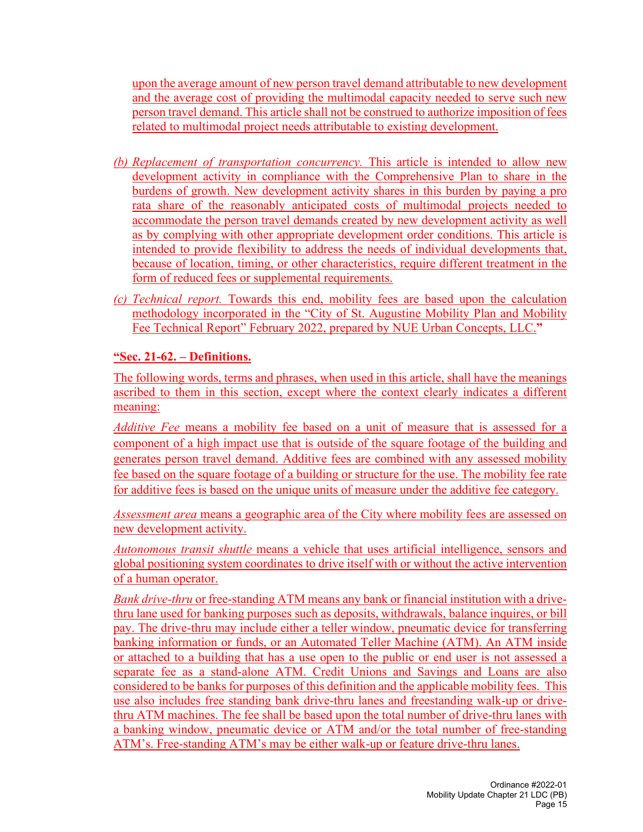upon the average amount of new person travel demand attributable to new development and the average cost of providing the multimodal capacity needed to serve such new person travel demand. This article shall not be construed to authorize imposition of fees related to multimodal project needs attributable to existing development.

- *(b) Replacement of transportation concurrency.* This article is intended to allow new development activity in compliance with the Comprehensive Plan to share in the burdens of growth. New development activity shares in this burden by paying a pro rata share of the reasonably anticipated costs of multimodal projects needed to accommodate the person travel demands created by new development activity as well as by complying with other appropriate development order conditions. This article is intended to provide flexibility to address the needs of individual developments that, because of location, timing, or other characteristics, require different treatment in the form of reduced fees or supplemental requirements.
- *(c) Technical report.* Towards this end, mobility fees are based upon the calculation methodology incorporated in the "City of St. Augustine Mobility Plan and Mobility Fee Technical Report" February 2022, prepared by NUE Urban Concepts, LLC.**"**

#### **"Sec. 21-62. – Definitions.**

The following words, terms and phrases, when used in this article, shall have the meanings ascribed to them in this section, except where the context clearly indicates a different meaning:

*Additive Fee* means a mobility fee based on a unit of measure that is assessed for a component of a high impact use that is outside of the square footage of the building and generates person travel demand. Additive fees are combined with any assessed mobility fee based on the square footage of a building or structure for the use. The mobility fee rate for additive fees is based on the unique units of measure under the additive fee category.

*Assessment area* means a geographic area of the City where mobility fees are assessed on new development activity.

*Autonomous transit shuttle* means a vehicle that uses artificial intelligence, sensors and global positioning system coordinates to drive itself with or without the active intervention of a human operator.

*Bank drive-thru* or free-standing ATM means any bank or financial institution with a drivethru lane used for banking purposes such as deposits, withdrawals, balance inquires, or bill pay. The drive-thru may include either a teller window, pneumatic device for transferring banking information or funds, or an Automated Teller Machine (ATM). An ATM inside or attached to a building that has a use open to the public or end user is not assessed a separate fee as a stand-alone ATM. Credit Unions and Savings and Loans are also considered to be banks for purposes of this definition and the applicable mobility fees. This use also includes free standing bank drive-thru lanes and freestanding walk-up or drivethru ATM machines. The fee shall be based upon the total number of drive-thru lanes with a banking window, pneumatic device or ATM and/or the total number of free-standing ATM's. Free-standing ATM's may be either walk-up or feature drive-thru lanes.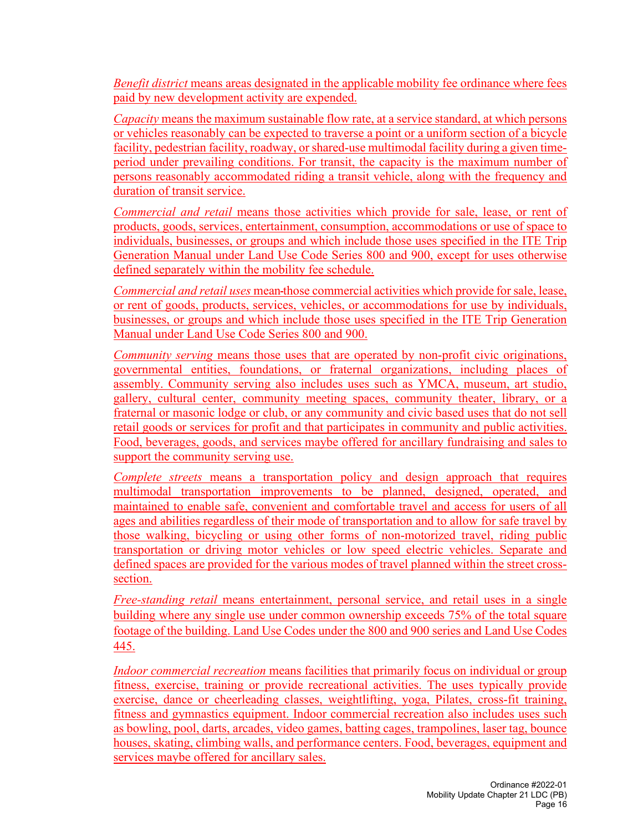*Benefit district* means areas designated in the applicable mobility fee ordinance where fees paid by new development activity are expended.

*Capacity* means the maximum sustainable flow rate, at a service standard, at which persons or vehicles reasonably can be expected to traverse a point or a uniform section of a bicycle facility, pedestrian facility, roadway, or shared-use multimodal facility during a given timeperiod under prevailing conditions. For transit, the capacity is the maximum number of persons reasonably accommodated riding a transit vehicle, along with the frequency and duration of transit service.

*Commercial and retail* means those activities which provide for sale, lease, or rent of products, goods, services, entertainment, consumption, accommodations or use of space to individuals, businesses, or groups and which include those uses specified in the ITE Trip Generation Manual under Land Use Code Series 800 and 900, except for uses otherwise defined separately within the mobility fee schedule.

*Commercial and retail uses* mean those commercial activities which provide for sale, lease, or rent of goods, products, services, vehicles, or accommodations for use by individuals, businesses, or groups and which include those uses specified in the ITE Trip Generation Manual under Land Use Code Series 800 and 900.

*Community serving* means those uses that are operated by non-profit civic originations, governmental entities, foundations, or fraternal organizations, including places of assembly. Community serving also includes uses such as YMCA, museum, art studio, gallery, cultural center, community meeting spaces, community theater, library, or a fraternal or masonic lodge or club, or any community and civic based uses that do not sell retail goods or services for profit and that participates in community and public activities. Food, beverages, goods, and services maybe offered for ancillary fundraising and sales to support the community serving use.

*Complete streets* means a transportation policy and design approach that requires multimodal transportation improvements to be planned, designed, operated, and maintained to enable safe, convenient and comfortable travel and access for users of all ages and abilities regardless of their mode of transportation and to allow for safe travel by those walking, bicycling or using other forms of non-motorized travel, riding public transportation or driving motor vehicles or low speed electric vehicles. Separate and defined spaces are provided for the various modes of travel planned within the street crosssection.

*Free-standing retail* means entertainment, personal service, and retail uses in a single building where any single use under common ownership exceeds 75% of the total square footage of the building. Land Use Codes under the 800 and 900 series and Land Use Codes 445.

*Indoor commercial recreation* means facilities that primarily focus on individual or group fitness, exercise, training or provide recreational activities. The uses typically provide exercise, dance or cheerleading classes, weightlifting, yoga, Pilates, cross-fit training, fitness and gymnastics equipment. Indoor commercial recreation also includes uses such as bowling, pool, darts, arcades, video games, batting cages, trampolines, laser tag, bounce houses, skating, climbing walls, and performance centers. Food, beverages, equipment and services maybe offered for ancillary sales.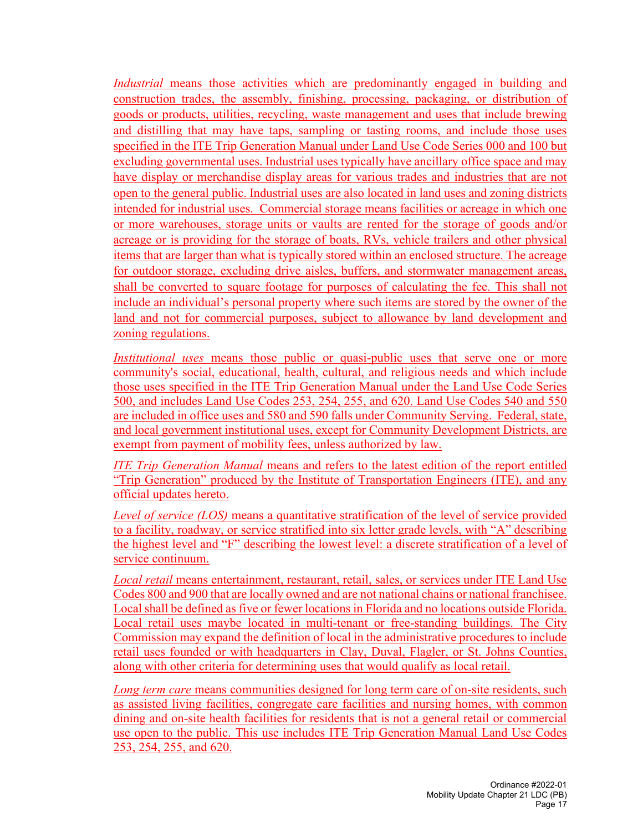*Industrial* means those activities which are predominantly engaged in building and construction trades, the assembly, finishing, processing, packaging, or distribution of goods or products, utilities, recycling, waste management and uses that include brewing and distilling that may have taps, sampling or tasting rooms, and include those uses specified in the ITE Trip Generation Manual under Land Use Code Series 000 and 100 but excluding governmental uses. Industrial uses typically have ancillary office space and may have display or merchandise display areas for various trades and industries that are not open to the general public. Industrial uses are also located in land uses and zoning districts intended for industrial uses. Commercial storage means facilities or acreage in which one or more warehouses, storage units or vaults are rented for the storage of goods and/or acreage or is providing for the storage of boats, RVs, vehicle trailers and other physical items that are larger than what is typically stored within an enclosed structure. The acreage for outdoor storage, excluding drive aisles, buffers, and stormwater management areas, shall be converted to square footage for purposes of calculating the fee. This shall not include an individual's personal property where such items are stored by the owner of the land and not for commercial purposes, subject to allowance by land development and zoning regulations.

*Institutional uses* means those public or quasi-public uses that serve one or more community's social, educational, health, cultural, and religious needs and which include those uses specified in the ITE Trip Generation Manual under the Land Use Code Series 500, and includes Land Use Codes 253, 254, 255, and 620. Land Use Codes 540 and 550 are included in office uses and 580 and 590 falls under Community Serving. Federal, state, and local government institutional uses, except for Community Development Districts, are exempt from payment of mobility fees, unless authorized by law.

*ITE Trip Generation Manual* means and refers to the latest edition of the report entitled "Trip Generation" produced by the Institute of Transportation Engineers (ITE), and any official updates hereto.

*Level of service (LOS)* means a quantitative stratification of the level of service provided to a facility, roadway, or service stratified into six letter grade levels, with "A" describing the highest level and "F" describing the lowest level: a discrete stratification of a level of service continuum.

*Local retail* means entertainment, restaurant, retail, sales, or services under ITE Land Use Codes 800 and 900 that are locally owned and are not national chains or national franchisee. Local shall be defined as five or fewer locations in Florida and no locations outside Florida. Local retail uses maybe located in multi-tenant or free-standing buildings. The City Commission may expand the definition of local in the administrative procedures to include retail uses founded or with headquarters in Clay, Duval, Flagler, or St. Johns Counties, along with other criteria for determining uses that would qualify as local retail.

*Long term care* means communities designed for long term care of on-site residents, such as assisted living facilities, congregate care facilities and nursing homes, with common dining and on-site health facilities for residents that is not a general retail or commercial use open to the public. This use includes ITE Trip Generation Manual Land Use Codes 253, 254, 255, and 620.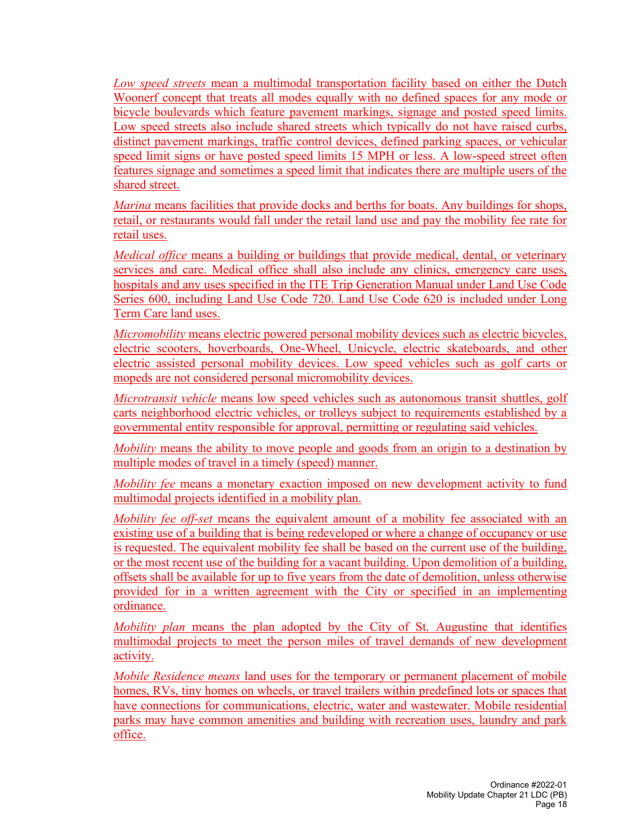*Low speed streets* mean a multimodal transportation facility based on either the Dutch Woonerf concept that treats all modes equally with no defined spaces for any mode or bicycle boulevards which feature pavement markings, signage and posted speed limits. Low speed streets also include shared streets which typically do not have raised curbs, distinct pavement markings, traffic control devices, defined parking spaces, or vehicular speed limit signs or have posted speed limits 15 MPH or less. A low-speed street often features signage and sometimes a speed limit that indicates there are multiple users of the shared street.

*Marina* means facilities that provide docks and berths for boats. Any buildings for shops, retail, or restaurants would fall under the retail land use and pay the mobility fee rate for retail uses.

*Medical office* means a building or buildings that provide medical, dental, or veterinary services and care. Medical office shall also include any clinics, emergency care uses, hospitals and any uses specified in the ITE Trip Generation Manual under Land Use Code Series 600, including Land Use Code 720. Land Use Code 620 is included under Long Term Care land uses.

*Micromobility* means electric powered personal mobility devices such as electric bicycles, electric scooters, hoverboards, One-Wheel, Unicycle, electric skateboards, and other electric assisted personal mobility devices. Low speed vehicles such as golf carts or mopeds are not considered personal micromobility devices.

*Microtransit vehicle* means low speed vehicles such as autonomous transit shuttles, golf carts neighborhood electric vehicles, or trolleys subject to requirements established by a governmental entity responsible for approval, permitting or regulating said vehicles.

*Mobility* means the ability to move people and goods from an origin to a destination by multiple modes of travel in a timely (speed) manner.

*Mobility fee* means a monetary exaction imposed on new development activity to fund multimodal projects identified in a mobility plan.

*Mobility fee off-set* means the equivalent amount of a mobility fee associated with an existing use of a building that is being redeveloped or where a change of occupancy or use is requested. The equivalent mobility fee shall be based on the current use of the building, or the most recent use of the building for a vacant building. Upon demolition of a building, offsets shall be available for up to five years from the date of demolition, unless otherwise provided for in a written agreement with the City or specified in an implementing ordinance.

*Mobility plan* means the plan adopted by the City of St. Augustine that identifies multimodal projects to meet the person miles of travel demands of new development activity.

*Mobile Residence means* land uses for the temporary or permanent placement of mobile homes, RVs, tiny homes on wheels, or travel trailers within predefined lots or spaces that have connections for communications, electric, water and wastewater. Mobile residential parks may have common amenities and building with recreation uses, laundry and park office.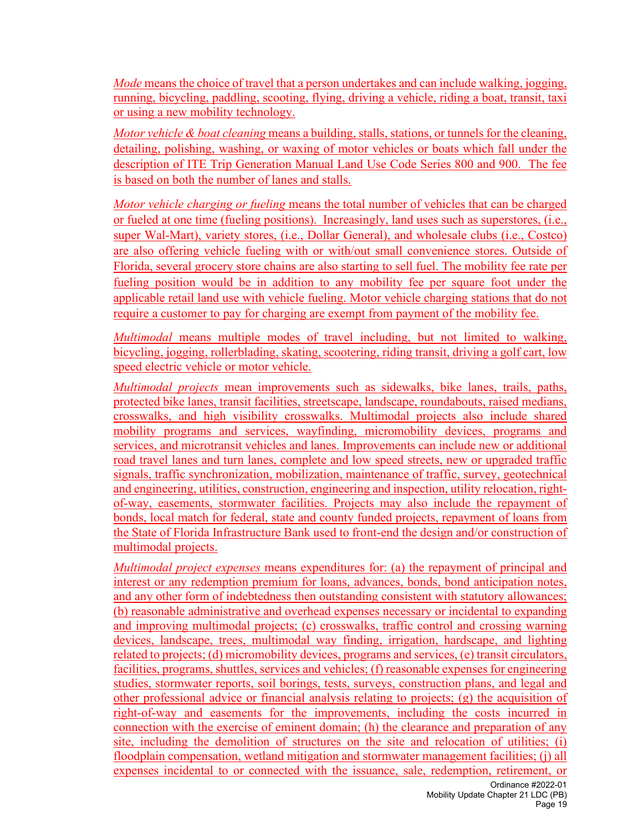*Mode* means the choice of travel that a person undertakes and can include walking, jogging, running, bicycling, paddling, scooting, flying, driving a vehicle, riding a boat, transit, taxi or using a new mobility technology.

*Motor vehicle & boat cleaning* means a building, stalls, stations, or tunnels for the cleaning, detailing, polishing, washing, or waxing of motor vehicles or boats which fall under the description of ITE Trip Generation Manual Land Use Code Series 800 and 900. The fee is based on both the number of lanes and stalls.

*Motor vehicle charging or fueling* means the total number of vehicles that can be charged or fueled at one time (fueling positions). Increasingly, land uses such as superstores, (i.e., super Wal-Mart), variety stores, (i.e., Dollar General), and wholesale clubs (i.e., Costco) are also offering vehicle fueling with or with/out small convenience stores. Outside of Florida, several grocery store chains are also starting to sell fuel. The mobility fee rate per fueling position would be in addition to any mobility fee per square foot under the applicable retail land use with vehicle fueling. Motor vehicle charging stations that do not require a customer to pay for charging are exempt from payment of the mobility fee.

*Multimodal* means multiple modes of travel including, but not limited to walking, bicycling, jogging, rollerblading, skating, scootering, riding transit, driving a golf cart, low speed electric vehicle or motor vehicle.

*Multimodal projects* mean improvements such as sidewalks, bike lanes, trails, paths, protected bike lanes, transit facilities, streetscape, landscape, roundabouts, raised medians, crosswalks, and high visibility crosswalks. Multimodal projects also include shared mobility programs and services, wayfinding, micromobility devices, programs and services, and microtransit vehicles and lanes. Improvements can include new or additional road travel lanes and turn lanes, complete and low speed streets, new or upgraded traffic signals, traffic synchronization, mobilization, maintenance of traffic, survey, geotechnical and engineering, utilities, construction, engineering and inspection, utility relocation, rightof-way, easements, stormwater facilities. Projects may also include the repayment of bonds, local match for federal, state and county funded projects, repayment of loans from the State of Florida Infrastructure Bank used to front-end the design and/or construction of multimodal projects.

*Multimodal project expenses* means expenditures for: (a) the repayment of principal and interest or any redemption premium for loans, advances, bonds, bond anticipation notes, and any other form of indebtedness then outstanding consistent with statutory allowances; (b) reasonable administrative and overhead expenses necessary or incidental to expanding and improving multimodal projects; (c) crosswalks, traffic control and crossing warning devices, landscape, trees, multimodal way finding, irrigation, hardscape, and lighting related to projects; (d) micromobility devices, programs and services, (e) transit circulators, facilities, programs, shuttles, services and vehicles; (f) reasonable expenses for engineering studies, stormwater reports, soil borings, tests, surveys, construction plans, and legal and other professional advice or financial analysis relating to projects; (g) the acquisition of right-of-way and easements for the improvements, including the costs incurred in connection with the exercise of eminent domain; (h) the clearance and preparation of any site, including the demolition of structures on the site and relocation of utilities; (i) floodplain compensation, wetland mitigation and stormwater management facilities; (j) all expenses incidental to or connected with the issuance, sale, redemption, retirement, or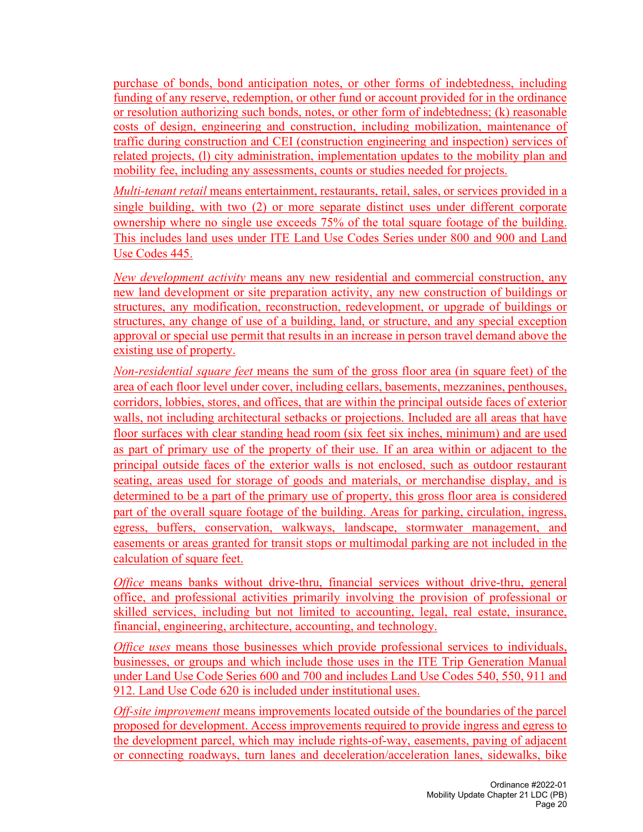purchase of bonds, bond anticipation notes, or other forms of indebtedness, including funding of any reserve, redemption, or other fund or account provided for in the ordinance or resolution authorizing such bonds, notes, or other form of indebtedness; (k) reasonable costs of design, engineering and construction, including mobilization, maintenance of traffic during construction and CEI (construction engineering and inspection) services of related projects, (l) city administration, implementation updates to the mobility plan and mobility fee, including any assessments, counts or studies needed for projects.

*Multi-tenant retail* means entertainment, restaurants, retail, sales, or services provided in a single building, with two (2) or more separate distinct uses under different corporate ownership where no single use exceeds 75% of the total square footage of the building. This includes land uses under ITE Land Use Codes Series under 800 and 900 and Land Use Codes 445.

*New development activity* means any new residential and commercial construction, any new land development or site preparation activity, any new construction of buildings or structures, any modification, reconstruction, redevelopment, or upgrade of buildings or structures, any change of use of a building, land, or structure, and any special exception approval or special use permit that results in an increase in person travel demand above the existing use of property.

*Non-residential square feet* means the sum of the gross floor area (in square feet) of the area of each floor level under cover, including cellars, basements, mezzanines, penthouses, corridors, lobbies, stores, and offices, that are within the principal outside faces of exterior walls, not including architectural setbacks or projections. Included are all areas that have floor surfaces with clear standing head room (six feet six inches, minimum) and are used as part of primary use of the property of their use. If an area within or adjacent to the principal outside faces of the exterior walls is not enclosed, such as outdoor restaurant seating, areas used for storage of goods and materials, or merchandise display, and is determined to be a part of the primary use of property, this gross floor area is considered part of the overall square footage of the building. Areas for parking, circulation, ingress, egress, buffers, conservation, walkways, landscape, stormwater management, and easements or areas granted for transit stops or multimodal parking are not included in the calculation of square feet.

*Office* means banks without drive-thru, financial services without drive-thru, general office, and professional activities primarily involving the provision of professional or skilled services, including but not limited to accounting, legal, real estate, insurance, financial, engineering, architecture, accounting, and technology.

*Office uses* means those businesses which provide professional services to individuals, businesses, or groups and which include those uses in the ITE Trip Generation Manual under Land Use Code Series 600 and 700 and includes Land Use Codes 540, 550, 911 and 912. Land Use Code 620 is included under institutional uses.

*Off-site improvement* means improvements located outside of the boundaries of the parcel proposed for development. Access improvements required to provide ingress and egress to the development parcel, which may include rights-of-way, easements, paving of adjacent or connecting roadways, turn lanes and deceleration/acceleration lanes, sidewalks, bike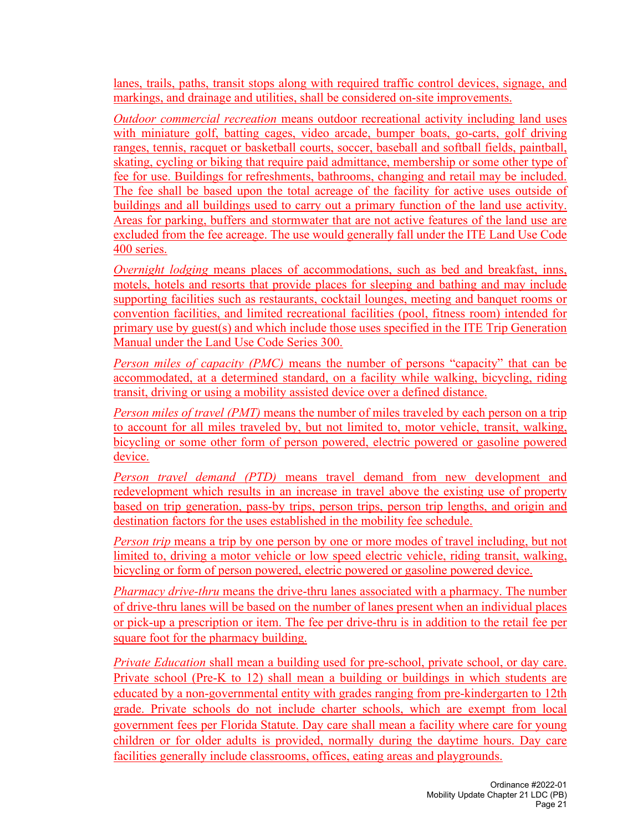lanes, trails, paths, transit stops along with required traffic control devices, signage, and markings, and drainage and utilities, shall be considered on-site improvements.

*Outdoor commercial recreation* means outdoor recreational activity including land uses with miniature golf, batting cages, video arcade, bumper boats, go-carts, golf driving ranges, tennis, racquet or basketball courts, soccer, baseball and softball fields, paintball, skating, cycling or biking that require paid admittance, membership or some other type of fee for use. Buildings for refreshments, bathrooms, changing and retail may be included. The fee shall be based upon the total acreage of the facility for active uses outside of buildings and all buildings used to carry out a primary function of the land use activity. Areas for parking, buffers and stormwater that are not active features of the land use are excluded from the fee acreage. The use would generally fall under the ITE Land Use Code 400 series.

*Overnight lodging* means places of accommodations, such as bed and breakfast, inns, motels, hotels and resorts that provide places for sleeping and bathing and may include supporting facilities such as restaurants, cocktail lounges, meeting and banquet rooms or convention facilities, and limited recreational facilities (pool, fitness room) intended for primary use by guest(s) and which include those uses specified in the ITE Trip Generation Manual under the Land Use Code Series 300.

*Person miles of capacity (PMC)* means the number of persons "capacity" that can be accommodated, at a determined standard, on a facility while walking, bicycling, riding transit, driving or using a mobility assisted device over a defined distance.

*Person miles of travel (PMT)* means the number of miles traveled by each person on a trip to account for all miles traveled by, but not limited to, motor vehicle, transit, walking, bicycling or some other form of person powered, electric powered or gasoline powered device.

*Person travel demand (PTD)* means travel demand from new development and redevelopment which results in an increase in travel above the existing use of property based on trip generation, pass-by trips, person trips, person trip lengths, and origin and destination factors for the uses established in the mobility fee schedule.

*Person trip* means a trip by one person by one or more modes of travel including, but not limited to, driving a motor vehicle or low speed electric vehicle, riding transit, walking, bicycling or form of person powered, electric powered or gasoline powered device.

*Pharmacy drive-thru* means the drive-thru lanes associated with a pharmacy. The number of drive-thru lanes will be based on the number of lanes present when an individual places or pick-up a prescription or item. The fee per drive-thru is in addition to the retail fee per square foot for the pharmacy building.

*Private Education* shall mean a building used for pre-school, private school, or day care. Private school (Pre-K to 12) shall mean a building or buildings in which students are educated by a non-governmental entity with grades ranging from pre-kindergarten to 12th grade. Private schools do not include charter schools, which are exempt from local government fees per Florida Statute. Day care shall mean a facility where care for young children or for older adults is provided, normally during the daytime hours. Day care facilities generally include classrooms, offices, eating areas and playgrounds.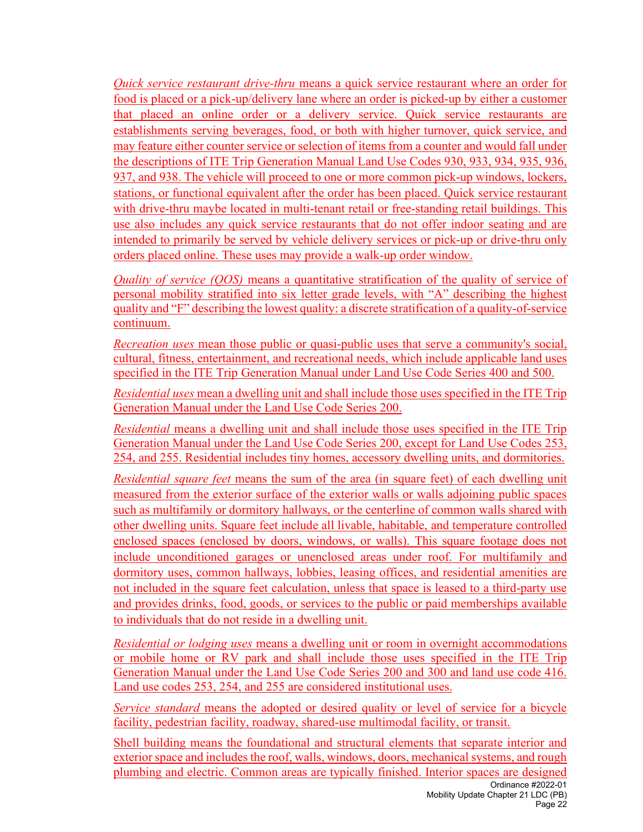*Quick service restaurant drive-thru* means a quick service restaurant where an order for food is placed or a pick-up/delivery lane where an order is picked-up by either a customer that placed an online order or a delivery service. Quick service restaurants are establishments serving beverages, food, or both with higher turnover, quick service, and may feature either counter service or selection of items from a counter and would fall under the descriptions of ITE Trip Generation Manual Land Use Codes 930, 933, 934, 935, 936, 937, and 938. The vehicle will proceed to one or more common pick-up windows, lockers, stations, or functional equivalent after the order has been placed. Quick service restaurant with drive-thru maybe located in multi-tenant retail or free-standing retail buildings. This use also includes any quick service restaurants that do not offer indoor seating and are intended to primarily be served by vehicle delivery services or pick-up or drive-thru only orders placed online. These uses may provide a walk-up order window.

*Quality of service (QOS)* means a quantitative stratification of the quality of service of personal mobility stratified into six letter grade levels, with "A" describing the highest quality and "F" describing the lowest quality: a discrete stratification of a quality-of-service continuum.

*Recreation uses* mean those public or quasi-public uses that serve a community's social, cultural, fitness, entertainment, and recreational needs, which include applicable land uses specified in the ITE Trip Generation Manual under Land Use Code Series 400 and 500.

*Residential uses* mean a dwelling unit and shall include those uses specified in the ITE Trip Generation Manual under the Land Use Code Series 200.

*Residential* means a dwelling unit and shall include those uses specified in the ITE Trip Generation Manual under the Land Use Code Series 200, except for Land Use Codes 253, 254, and 255. Residential includes tiny homes, accessory dwelling units, and dormitories.

*Residential square feet* means the sum of the area (in square feet) of each dwelling unit measured from the exterior surface of the exterior walls or walls adjoining public spaces such as multifamily or dormitory hallways, or the centerline of common walls shared with other dwelling units. Square feet include all livable, habitable, and temperature controlled enclosed spaces (enclosed by doors, windows, or walls). This square footage does not include unconditioned garages or unenclosed areas under roof. For multifamily and dormitory uses, common hallways, lobbies, leasing offices, and residential amenities are not included in the square feet calculation, unless that space is leased to a third-party use and provides drinks, food, goods, or services to the public or paid memberships available to individuals that do not reside in a dwelling unit.

*Residential or lodging uses* means a dwelling unit or room in overnight accommodations or mobile home or RV park and shall include those uses specified in the ITE Trip Generation Manual under the Land Use Code Series 200 and 300 and land use code 416. Land use codes 253, 254, and 255 are considered institutional uses.

*Service standard* means the adopted or desired quality or level of service for a bicycle facility, pedestrian facility, roadway, shared-use multimodal facility, or transit.

Shell building means the foundational and structural elements that separate interior and exterior space and includes the roof, walls, windows, doors, mechanical systems, and rough plumbing and electric. Common areas are typically finished. Interior spaces are designed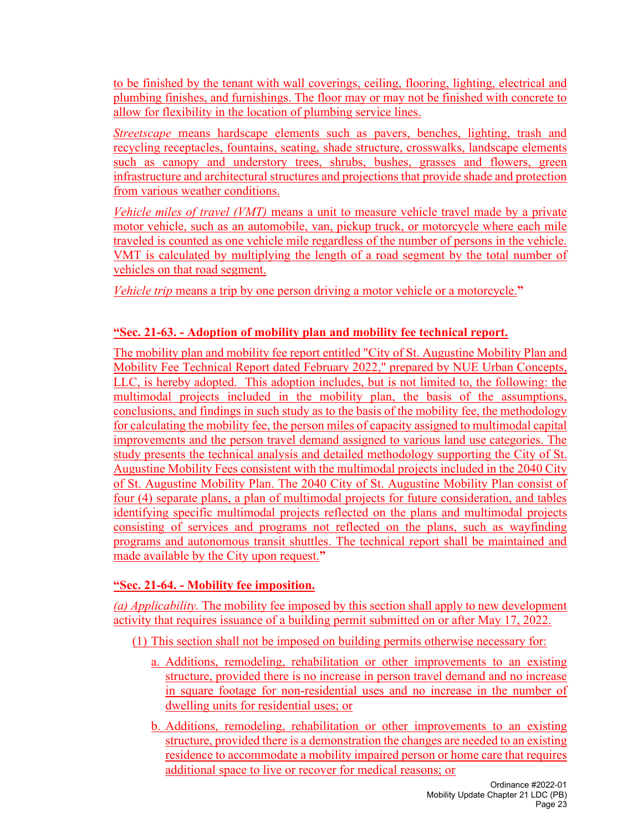to be finished by the tenant with wall coverings, ceiling, flooring, lighting, electrical and plumbing finishes, and furnishings. The floor may or may not be finished with concrete to allow for flexibility in the location of plumbing service lines.

*Streetscape* means hardscape elements such as pavers, benches, lighting, trash and recycling receptacles, fountains, seating, shade structure, crosswalks, landscape elements such as canopy and understory trees, shrubs, bushes, grasses and flowers, green infrastructure and architectural structures and projections that provide shade and protection from various weather conditions.

*Vehicle miles of travel (VMT)* means a unit to measure vehicle travel made by a private motor vehicle, such as an automobile, van, pickup truck, or motorcycle where each mile traveled is counted as one vehicle mile regardless of the number of persons in the vehicle. VMT is calculated by multiplying the length of a road segment by the total number of vehicles on that road segment.

*Vehicle trip* means a trip by one person driving a motor vehicle or a motorcycle.**"**

# **"Sec. 21-63. - Adoption of mobility plan and mobility fee technical report.**

The mobility plan and mobility fee report entitled "City of St. Augustine Mobility Plan and Mobility Fee Technical Report dated February 2022," prepared by NUE Urban Concepts, LLC, is hereby adopted. This adoption includes, but is not limited to, the following: the multimodal projects included in the mobility plan, the basis of the assumptions, conclusions, and findings in such study as to the basis of the mobility fee, the methodology for calculating the mobility fee, the person miles of capacity assigned to multimodal capital improvements and the person travel demand assigned to various land use categories. The study presents the technical analysis and detailed methodology supporting the City of St. Augustine Mobility Fees consistent with the multimodal projects included in the 2040 City of St. Augustine Mobility Plan. The 2040 City of St. Augustine Mobility Plan consist of four (4) separate plans, a plan of multimodal projects for future consideration, and tables identifying specific multimodal projects reflected on the plans and multimodal projects consisting of services and programs not reflected on the plans, such as wayfinding programs and autonomous transit shuttles. The technical report shall be maintained and made available by the City upon request.**"**

# **"Sec. 21-64. - Mobility fee imposition.**

*(a) Applicability.* The mobility fee imposed by this section shall apply to new development activity that requires issuance of a building permit submitted on or after May 17, 2022.

(1) This section shall not be imposed on building permits otherwise necessary for:

- a. Additions, remodeling, rehabilitation or other improvements to an existing structure, provided there is no increase in person travel demand and no increase in square footage for non-residential uses and no increase in the number of dwelling units for residential uses; or
- b. Additions, remodeling, rehabilitation or other improvements to an existing structure, provided there is a demonstration the changes are needed to an existing residence to accommodate a mobility impaired person or home care that requires additional space to live or recover for medical reasons; or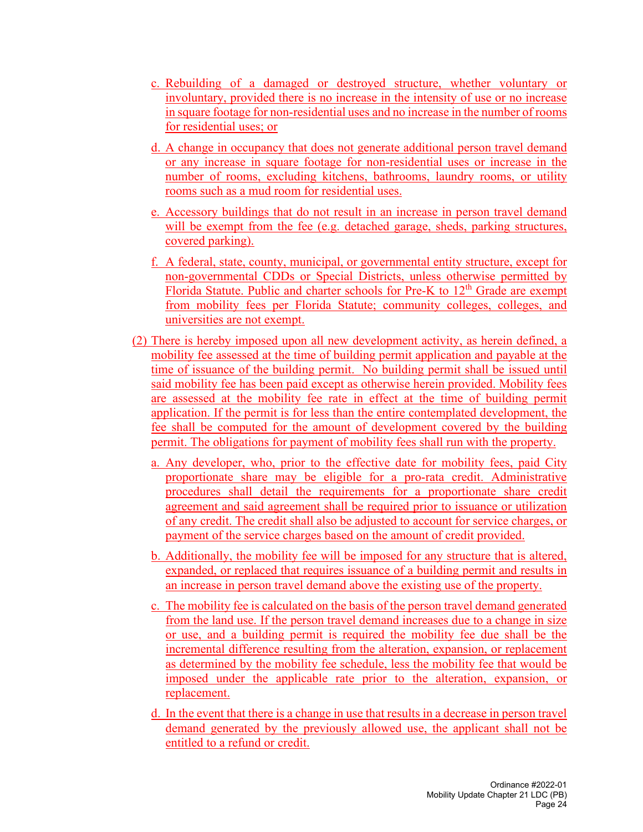- c. Rebuilding of a damaged or destroyed structure, whether voluntary or involuntary, provided there is no increase in the intensity of use or no increase in square footage for non-residential uses and no increase in the number of rooms for residential uses; or
- d. A change in occupancy that does not generate additional person travel demand or any increase in square footage for non-residential uses or increase in the number of rooms, excluding kitchens, bathrooms, laundry rooms, or utility rooms such as a mud room for residential uses.
- e. Accessory buildings that do not result in an increase in person travel demand will be exempt from the fee (e.g. detached garage, sheds, parking structures, covered parking).
- f. A federal, state, county, municipal, or governmental entity structure, except for non-governmental CDDs or Special Districts, unless otherwise permitted by Florida Statute. Public and charter schools for Pre-K to 12<sup>th</sup> Grade are exempt from mobility fees per Florida Statute; community colleges, colleges, and universities are not exempt.
- (2) There is hereby imposed upon all new development activity, as herein defined, a mobility fee assessed at the time of building permit application and payable at the time of issuance of the building permit. No building permit shall be issued until said mobility fee has been paid except as otherwise herein provided. Mobility fees are assessed at the mobility fee rate in effect at the time of building permit application. If the permit is for less than the entire contemplated development, the fee shall be computed for the amount of development covered by the building permit. The obligations for payment of mobility fees shall run with the property.
	- a. Any developer, who, prior to the effective date for mobility fees, paid City proportionate share may be eligible for a pro-rata credit. Administrative procedures shall detail the requirements for a proportionate share credit agreement and said agreement shall be required prior to issuance or utilization of any credit. The credit shall also be adjusted to account for service charges, or payment of the service charges based on the amount of credit provided.
	- b. Additionally, the mobility fee will be imposed for any structure that is altered, expanded, or replaced that requires issuance of a building permit and results in an increase in person travel demand above the existing use of the property.
	- c. The mobility fee is calculated on the basis of the person travel demand generated from the land use. If the person travel demand increases due to a change in size or use, and a building permit is required the mobility fee due shall be the incremental difference resulting from the alteration, expansion, or replacement as determined by the mobility fee schedule, less the mobility fee that would be imposed under the applicable rate prior to the alteration, expansion, or replacement.
	- d. In the event that there is a change in use that results in a decrease in person travel demand generated by the previously allowed use, the applicant shall not be entitled to a refund or credit.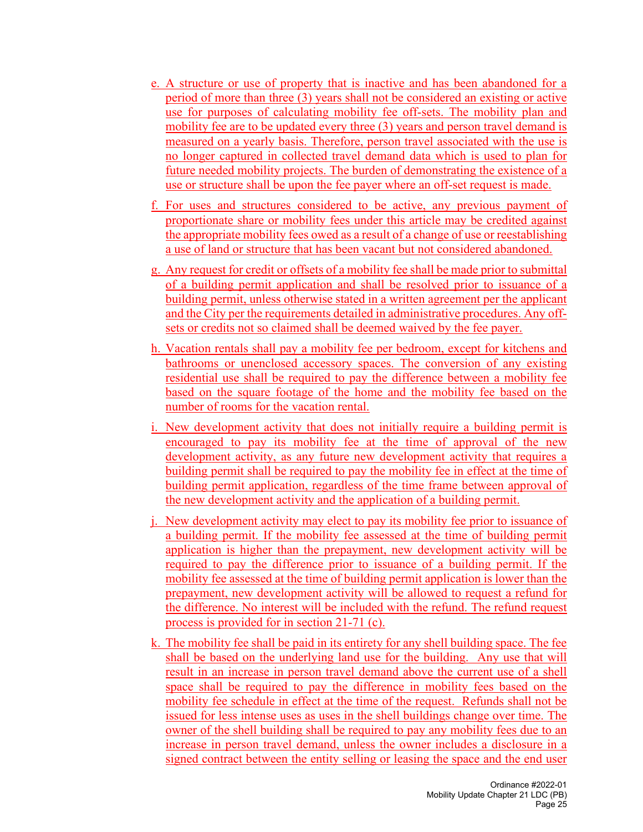- e. A structure or use of property that is inactive and has been abandoned for a period of more than three (3) years shall not be considered an existing or active use for purposes of calculating mobility fee off-sets. The mobility plan and mobility fee are to be updated every three (3) years and person travel demand is measured on a yearly basis. Therefore, person travel associated with the use is no longer captured in collected travel demand data which is used to plan for future needed mobility projects. The burden of demonstrating the existence of a use or structure shall be upon the fee payer where an off-set request is made.
- f. For uses and structures considered to be active, any previous payment of proportionate share or mobility fees under this article may be credited against the appropriate mobility fees owed as a result of a change of use or reestablishing a use of land or structure that has been vacant but not considered abandoned.
- g. Any request for credit or offsets of a mobility fee shall be made prior to submittal of a building permit application and shall be resolved prior to issuance of a building permit, unless otherwise stated in a written agreement per the applicant and the City per the requirements detailed in administrative procedures. Any offsets or credits not so claimed shall be deemed waived by the fee payer.
- h. Vacation rentals shall pay a mobility fee per bedroom, except for kitchens and bathrooms or unenclosed accessory spaces. The conversion of any existing residential use shall be required to pay the difference between a mobility fee based on the square footage of the home and the mobility fee based on the number of rooms for the vacation rental.
- i. New development activity that does not initially require a building permit is encouraged to pay its mobility fee at the time of approval of the new development activity, as any future new development activity that requires a building permit shall be required to pay the mobility fee in effect at the time of building permit application, regardless of the time frame between approval of the new development activity and the application of a building permit.
- j. New development activity may elect to pay its mobility fee prior to issuance of a building permit. If the mobility fee assessed at the time of building permit application is higher than the prepayment, new development activity will be required to pay the difference prior to issuance of a building permit. If the mobility fee assessed at the time of building permit application is lower than the prepayment, new development activity will be allowed to request a refund for the difference. No interest will be included with the refund. The refund request process is provided for in section 21-71 (c).
- k. The mobility fee shall be paid in its entirety for any shell building space. The fee shall be based on the underlying land use for the building. Any use that will result in an increase in person travel demand above the current use of a shell space shall be required to pay the difference in mobility fees based on the mobility fee schedule in effect at the time of the request. Refunds shall not be issued for less intense uses as uses in the shell buildings change over time. The owner of the shell building shall be required to pay any mobility fees due to an increase in person travel demand, unless the owner includes a disclosure in a signed contract between the entity selling or leasing the space and the end user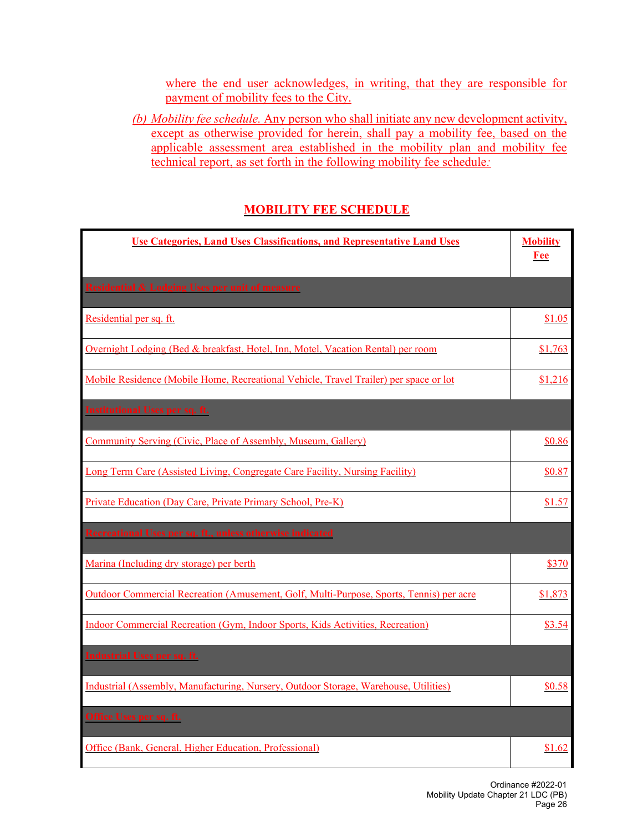where the end user acknowledges, in writing, that they are responsible for payment of mobility fees to the City.

*(b) Mobility fee schedule.* Any person who shall initiate any new development activity, except as otherwise provided for herein, shall pay a mobility fee, based on the applicable assessment area established in the mobility plan and mobility fee technical report, as set forth in the following mobility fee schedule*:*

### **MOBILITY FEE SCHEDULE**

| <b>Use Categories, Land Uses Classifications, and Representative Land Uses</b>          | <b>Mobility</b><br><b>Fee</b> |
|-----------------------------------------------------------------------------------------|-------------------------------|
| <b>Residential &amp; Lodging Uses per unit of measure</b>                               |                               |
| Residential per sq. ft.                                                                 | \$1.05                        |
| Overnight Lodging (Bed & breakfast, Hotel, Inn, Motel, Vacation Rental) per room        | \$1,763                       |
| Mobile Residence (Mobile Home, Recreational Vehicle, Travel Trailer) per space or lot   | \$1,216                       |
| <b>Institutional Uses per sq. ft.</b>                                                   |                               |
| Community Serving (Civic, Place of Assembly, Museum, Gallery)                           | \$0.86                        |
| Long Term Care (Assisted Living, Congregate Care Facility, Nursing Facility)            | \$0.87                        |
| Private Education (Day Care, Private Primary School, Pre-K)                             | \$1.57                        |
| Recreational Uses per sq. ft., unless otherwise indicated                               |                               |
| Marina (Including dry storage) per berth                                                | \$370                         |
| Outdoor Commercial Recreation (Amusement, Golf, Multi-Purpose, Sports, Tennis) per acre | \$1,873                       |
| Indoor Commercial Recreation (Gym, Indoor Sports, Kids Activities, Recreation)          | \$3.54                        |
| <b>Industrial Uses per sq. ft.</b>                                                      |                               |
| Industrial (Assembly, Manufacturing, Nursery, Outdoor Storage, Warehouse, Utilities)    | \$0.58                        |
| Office Uses per sq. ft.                                                                 |                               |
| Office (Bank, General, Higher Education, Professional)                                  | \$1.62                        |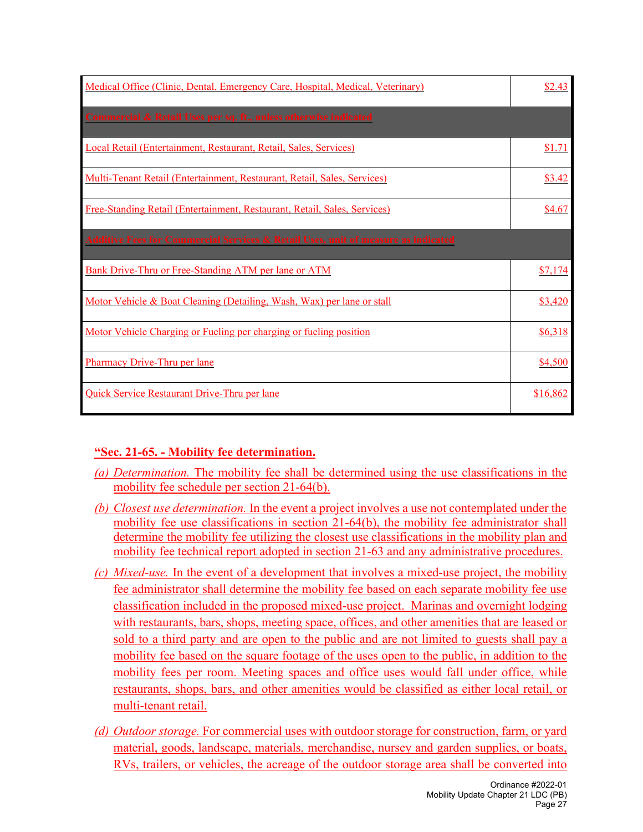| Medical Office (Clinic, Dental, Emergency Care, Hospital, Medical, Veterinary)               |          |
|----------------------------------------------------------------------------------------------|----------|
| Commercial & Retail Uses per sq. ft., unless otherwise indicated                             |          |
| Local Retail (Entertainment, Restaurant, Retail, Sales, Services)                            | \$1.71   |
| Multi-Tenant Retail (Entertainment, Restaurant, Retail, Sales, Services)                     | \$3.42   |
| Free-Standing Retail (Entertainment, Restaurant, Retail, Sales, Services)                    | \$4.67   |
| <b>Additive Fees for Commercial Services &amp; Retail Uses, unit of measure as indicated</b> |          |
| Bank Drive-Thru or Free-Standing ATM per lane or ATM                                         | \$7,174  |
| Motor Vehicle & Boat Cleaning (Detailing, Wash, Wax) per lane or stall                       | \$3,420  |
| Motor Vehicle Charging or Fueling per charging or fueling position                           | \$6,318  |
| <b>Pharmacy Drive-Thru per lane</b>                                                          | \$4,500  |
| Quick Service Restaurant Drive-Thru per lane                                                 | \$16,862 |

### **"Sec. 21-65. - Mobility fee determination.**

- *(a) Determination.* The mobility fee shall be determined using the use classifications in the mobility fee schedule per section 21-64(b).
- *(b) Closest use determination.* In the event a project involves a use not contemplated under the mobility fee use classifications in section 21-64(b), the mobility fee administrator shall determine the mobility fee utilizing the closest use classifications in the mobility plan and mobility fee technical report adopted in section 21-63 and any administrative procedures.
- *(c) Mixed-use.* In the event of a development that involves a mixed-use project, the mobility fee administrator shall determine the mobility fee based on each separate mobility fee use classification included in the proposed mixed-use project. Marinas and overnight lodging with restaurants, bars, shops, meeting space, offices, and other amenities that are leased or sold to a third party and are open to the public and are not limited to guests shall pay a mobility fee based on the square footage of the uses open to the public, in addition to the mobility fees per room. Meeting spaces and office uses would fall under office, while restaurants, shops, bars, and other amenities would be classified as either local retail, or multi-tenant retail.
- *(d) Outdoor storage.* For commercial uses with outdoor storage for construction, farm, or yard material, goods, landscape, materials, merchandise, nursey and garden supplies, or boats, RVs, trailers, or vehicles, the acreage of the outdoor storage area shall be converted into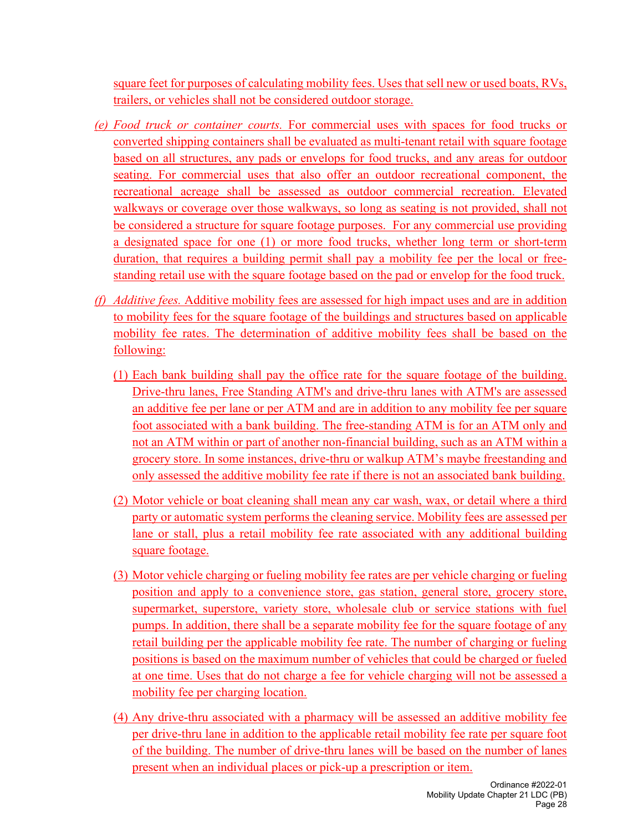square feet for purposes of calculating mobility fees. Uses that sell new or used boats, RVs, trailers, or vehicles shall not be considered outdoor storage.

- *(e) Food truck or container courts.* For commercial uses with spaces for food trucks or converted shipping containers shall be evaluated as multi-tenant retail with square footage based on all structures, any pads or envelops for food trucks, and any areas for outdoor seating. For commercial uses that also offer an outdoor recreational component, the recreational acreage shall be assessed as outdoor commercial recreation. Elevated walkways or coverage over those walkways, so long as seating is not provided, shall not be considered a structure for square footage purposes. For any commercial use providing a designated space for one (1) or more food trucks, whether long term or short-term duration, that requires a building permit shall pay a mobility fee per the local or freestanding retail use with the square footage based on the pad or envelop for the food truck.
- *(f) Additive fees.* Additive mobility fees are assessed for high impact uses and are in addition to mobility fees for the square footage of the buildings and structures based on applicable mobility fee rates. The determination of additive mobility fees shall be based on the following:
	- (1) Each bank building shall pay the office rate for the square footage of the building. Drive-thru lanes, Free Standing ATM's and drive-thru lanes with ATM's are assessed an additive fee per lane or per ATM and are in addition to any mobility fee per square foot associated with a bank building. The free-standing ATM is for an ATM only and not an ATM within or part of another non-financial building, such as an ATM within a grocery store. In some instances, drive-thru or walkup ATM's maybe freestanding and only assessed the additive mobility fee rate if there is not an associated bank building.
	- (2) Motor vehicle or boat cleaning shall mean any car wash, wax, or detail where a third party or automatic system performs the cleaning service. Mobility fees are assessed per lane or stall, plus a retail mobility fee rate associated with any additional building square footage.
	- (3) Motor vehicle charging or fueling mobility fee rates are per vehicle charging or fueling position and apply to a convenience store, gas station, general store, grocery store, supermarket, superstore, variety store, wholesale club or service stations with fuel pumps. In addition, there shall be a separate mobility fee for the square footage of any retail building per the applicable mobility fee rate. The number of charging or fueling positions is based on the maximum number of vehicles that could be charged or fueled at one time. Uses that do not charge a fee for vehicle charging will not be assessed a mobility fee per charging location.
	- (4) Any drive-thru associated with a pharmacy will be assessed an additive mobility fee per drive-thru lane in addition to the applicable retail mobility fee rate per square foot of the building. The number of drive-thru lanes will be based on the number of lanes present when an individual places or pick-up a prescription or item.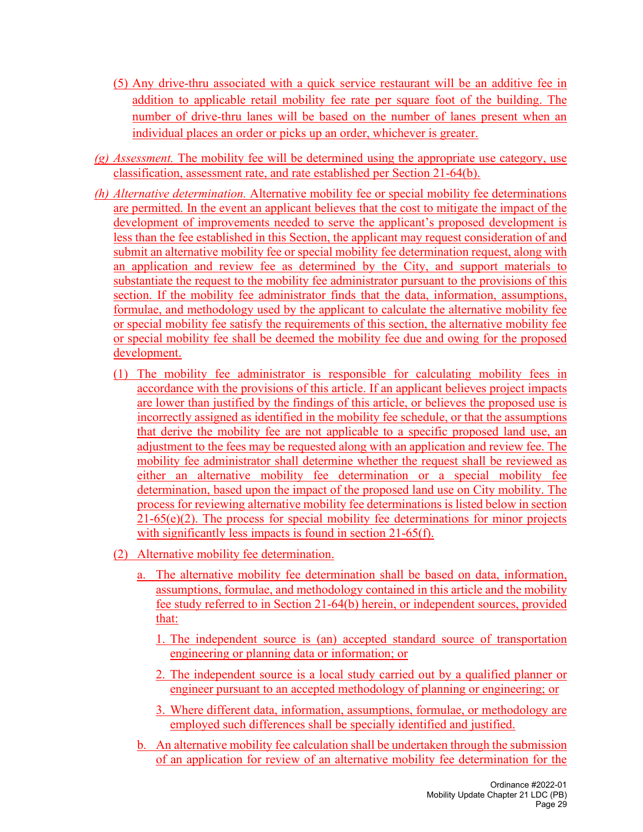- (5) Any drive-thru associated with a quick service restaurant will be an additive fee in addition to applicable retail mobility fee rate per square foot of the building. The number of drive-thru lanes will be based on the number of lanes present when an individual places an order or picks up an order, whichever is greater.
- *(g) Assessment.* The mobility fee will be determined using the appropriate use category, use classification, assessment rate, and rate established per Section 21-64(b).
- *(h) Alternative determination.* Alternative mobility fee or special mobility fee determinations are permitted. In the event an applicant believes that the cost to mitigate the impact of the development of improvements needed to serve the applicant's proposed development is less than the fee established in this Section, the applicant may request consideration of and submit an alternative mobility fee or special mobility fee determination request, along with an application and review fee as determined by the City, and support materials to substantiate the request to the mobility fee administrator pursuant to the provisions of this section. If the mobility fee administrator finds that the data, information, assumptions, formulae, and methodology used by the applicant to calculate the alternative mobility fee or special mobility fee satisfy the requirements of this section, the alternative mobility fee or special mobility fee shall be deemed the mobility fee due and owing for the proposed development.
	- (1) The mobility fee administrator is responsible for calculating mobility fees in accordance with the provisions of this article. If an applicant believes project impacts are lower than justified by the findings of this article, or believes the proposed use is incorrectly assigned as identified in the mobility fee schedule, or that the assumptions that derive the mobility fee are not applicable to a specific proposed land use, an adjustment to the fees may be requested along with an application and review fee. The mobility fee administrator shall determine whether the request shall be reviewed as either an alternative mobility fee determination or a special mobility fee determination, based upon the impact of the proposed land use on City mobility. The process for reviewing alternative mobility fee determinations is listed below in section 21-65(e)(2). The process for special mobility fee determinations for minor projects with significantly less impacts is found in section 21-65(f).
	- (2) Alternative mobility fee determination.
		- a. The alternative mobility fee determination shall be based on data, information, assumptions, formulae, and methodology contained in this article and the mobility fee study referred to in Section 21-64(b) herein, or independent sources, provided that:
			- 1. The independent source is (an) accepted standard source of transportation engineering or planning data or information; or
			- 2. The independent source is a local study carried out by a qualified planner or engineer pursuant to an accepted methodology of planning or engineering; or
			- 3. Where different data, information, assumptions, formulae, or methodology are employed such differences shall be specially identified and justified.
		- b. An alternative mobility fee calculation shall be undertaken through the submission of an application for review of an alternative mobility fee determination for the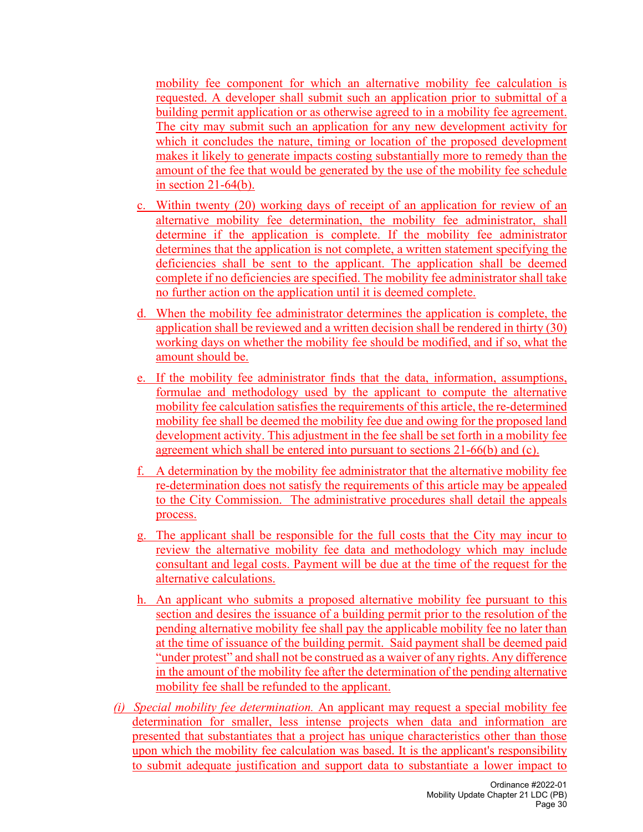mobility fee component for which an alternative mobility fee calculation is requested. A developer shall submit such an application prior to submittal of a building permit application or as otherwise agreed to in a mobility fee agreement. The city may submit such an application for any new development activity for which it concludes the nature, timing or location of the proposed development makes it likely to generate impacts costing substantially more to remedy than the amount of the fee that would be generated by the use of the mobility fee schedule in section 21-64(b).

- c. Within twenty (20) working days of receipt of an application for review of an alternative mobility fee determination, the mobility fee administrator, shall determine if the application is complete. If the mobility fee administrator determines that the application is not complete, a written statement specifying the deficiencies shall be sent to the applicant. The application shall be deemed complete if no deficiencies are specified. The mobility fee administrator shall take no further action on the application until it is deemed complete.
- d. When the mobility fee administrator determines the application is complete, the application shall be reviewed and a written decision shall be rendered in thirty (30) working days on whether the mobility fee should be modified, and if so, what the amount should be.
- e. If the mobility fee administrator finds that the data, information, assumptions, formulae and methodology used by the applicant to compute the alternative mobility fee calculation satisfies the requirements of this article, the re-determined mobility fee shall be deemed the mobility fee due and owing for the proposed land development activity. This adjustment in the fee shall be set forth in a mobility fee agreement which shall be entered into pursuant to sections 21-66(b) and (c).
- f. A determination by the mobility fee administrator that the alternative mobility fee re-determination does not satisfy the requirements of this article may be appealed to the City Commission. The administrative procedures shall detail the appeals process.
- g. The applicant shall be responsible for the full costs that the City may incur to review the alternative mobility fee data and methodology which may include consultant and legal costs. Payment will be due at the time of the request for the alternative calculations.
- h. An applicant who submits a proposed alternative mobility fee pursuant to this section and desires the issuance of a building permit prior to the resolution of the pending alternative mobility fee shall pay the applicable mobility fee no later than at the time of issuance of the building permit. Said payment shall be deemed paid "under protest" and shall not be construed as a waiver of any rights. Any difference in the amount of the mobility fee after the determination of the pending alternative mobility fee shall be refunded to the applicant.
- *(i) Special mobility fee determination.* An applicant may request a special mobility fee determination for smaller, less intense projects when data and information are presented that substantiates that a project has unique characteristics other than those upon which the mobility fee calculation was based. It is the applicant's responsibility to submit adequate justification and support data to substantiate a lower impact to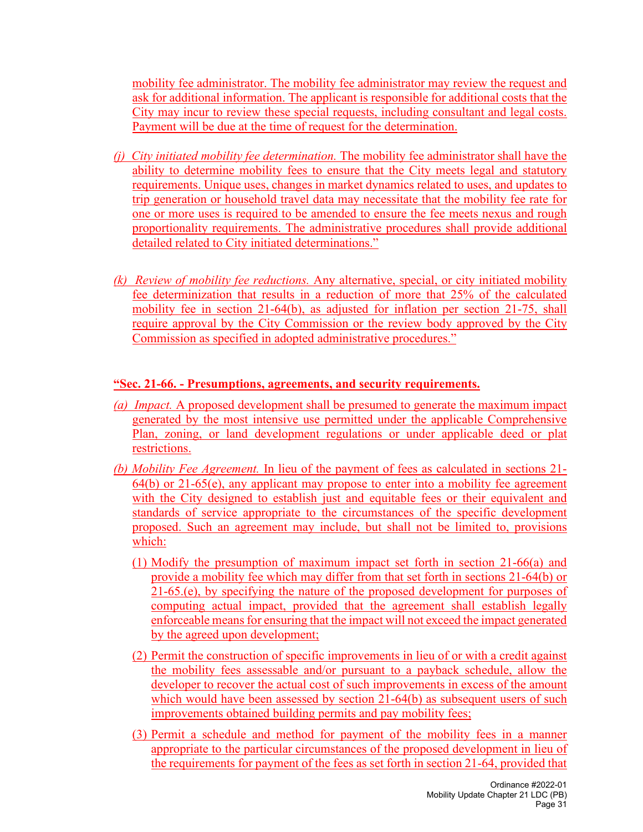mobility fee administrator. The mobility fee administrator may review the request and ask for additional information. The applicant is responsible for additional costs that the City may incur to review these special requests, including consultant and legal costs. Payment will be due at the time of request for the determination.

- *(j) City initiated mobility fee determination.* The mobility fee administrator shall have the ability to determine mobility fees to ensure that the City meets legal and statutory requirements. Unique uses, changes in market dynamics related to uses, and updates to trip generation or household travel data may necessitate that the mobility fee rate for one or more uses is required to be amended to ensure the fee meets nexus and rough proportionality requirements. The administrative procedures shall provide additional detailed related to City initiated determinations."
- *(k) Review of mobility fee reductions.* Any alternative, special, or city initiated mobility fee determinization that results in a reduction of more that 25% of the calculated mobility fee in section 21-64(b), as adjusted for inflation per section 21-75, shall require approval by the City Commission or the review body approved by the City Commission as specified in adopted administrative procedures."

#### **"Sec. 21-66. - Presumptions, agreements, and security requirements.**

- *(a) Impact.* A proposed development shall be presumed to generate the maximum impact generated by the most intensive use permitted under the applicable Comprehensive Plan, zoning, or land development regulations or under applicable deed or plat restrictions.
- *(b) Mobility Fee Agreement.* In lieu of the payment of fees as calculated in sections 21-  $64(b)$  or  $21-65(e)$ , any applicant may propose to enter into a mobility fee agreement with the City designed to establish just and equitable fees or their equivalent and standards of service appropriate to the circumstances of the specific development proposed. Such an agreement may include, but shall not be limited to, provisions which:
	- (1) Modify the presumption of maximum impact set forth in section 21-66(a) and provide a mobility fee which may differ from that set forth in sections 21-64(b) or 21-65.(e), by specifying the nature of the proposed development for purposes of computing actual impact, provided that the agreement shall establish legally enforceable means for ensuring that the impact will not exceed the impact generated by the agreed upon development;
	- (2) Permit the construction of specific improvements in lieu of or with a credit against the mobility fees assessable and/or pursuant to a payback schedule, allow the developer to recover the actual cost of such improvements in excess of the amount which would have been assessed by section 21-64(b) as subsequent users of such improvements obtained building permits and pay mobility fees;
	- (3) Permit a schedule and method for payment of the mobility fees in a manner appropriate to the particular circumstances of the proposed development in lieu of the requirements for payment of the fees as set forth in section 21-64, provided that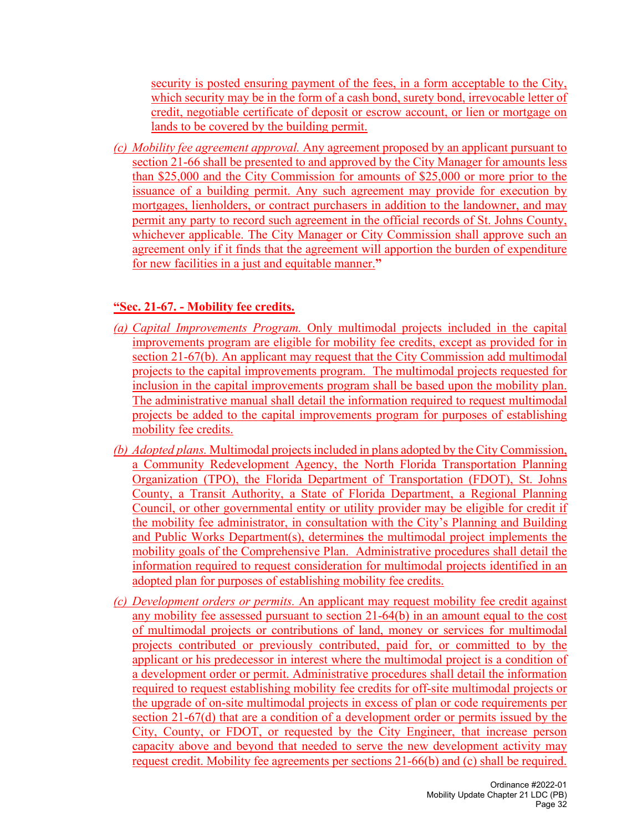security is posted ensuring payment of the fees, in a form acceptable to the City, which security may be in the form of a cash bond, surety bond, irrevocable letter of credit, negotiable certificate of deposit or escrow account, or lien or mortgage on lands to be covered by the building permit.

*(c) Mobility fee agreement approval.* Any agreement proposed by an applicant pursuant to section 21-66 shall be presented to and approved by the City Manager for amounts less than \$25,000 and the City Commission for amounts of \$25,000 or more prior to the issuance of a building permit. Any such agreement may provide for execution by mortgages, lienholders, or contract purchasers in addition to the landowner, and may permit any party to record such agreement in the official records of St. Johns County, whichever applicable. The City Manager or City Commission shall approve such an agreement only if it finds that the agreement will apportion the burden of expenditure for new facilities in a just and equitable manner.**"**

#### **"Sec. 21-67. - Mobility fee credits.**

- *(a) Capital Improvements Program.* Only multimodal projects included in the capital improvements program are eligible for mobility fee credits, except as provided for in section 21-67(b). An applicant may request that the City Commission add multimodal projects to the capital improvements program. The multimodal projects requested for inclusion in the capital improvements program shall be based upon the mobility plan. The administrative manual shall detail the information required to request multimodal projects be added to the capital improvements program for purposes of establishing mobility fee credits.
- *(b) Adopted plans.* Multimodal projects included in plans adopted by the City Commission, a Community Redevelopment Agency, the North Florida Transportation Planning Organization (TPO), the Florida Department of Transportation (FDOT), St. Johns County, a Transit Authority, a State of Florida Department, a Regional Planning Council, or other governmental entity or utility provider may be eligible for credit if the mobility fee administrator, in consultation with the City's Planning and Building and Public Works Department(s), determines the multimodal project implements the mobility goals of the Comprehensive Plan. Administrative procedures shall detail the information required to request consideration for multimodal projects identified in an adopted plan for purposes of establishing mobility fee credits.
- *(c) Development orders or permits.* An applicant may request mobility fee credit against any mobility fee assessed pursuant to section 21-64(b) in an amount equal to the cost of multimodal projects or contributions of land, money or services for multimodal projects contributed or previously contributed, paid for, or committed to by the applicant or his predecessor in interest where the multimodal project is a condition of a development order or permit. Administrative procedures shall detail the information required to request establishing mobility fee credits for off-site multimodal projects or the upgrade of on-site multimodal projects in excess of plan or code requirements per section 21-67(d) that are a condition of a development order or permits issued by the City, County, or FDOT, or requested by the City Engineer, that increase person capacity above and beyond that needed to serve the new development activity may request credit. Mobility fee agreements per sections 21-66(b) and (c) shall be required.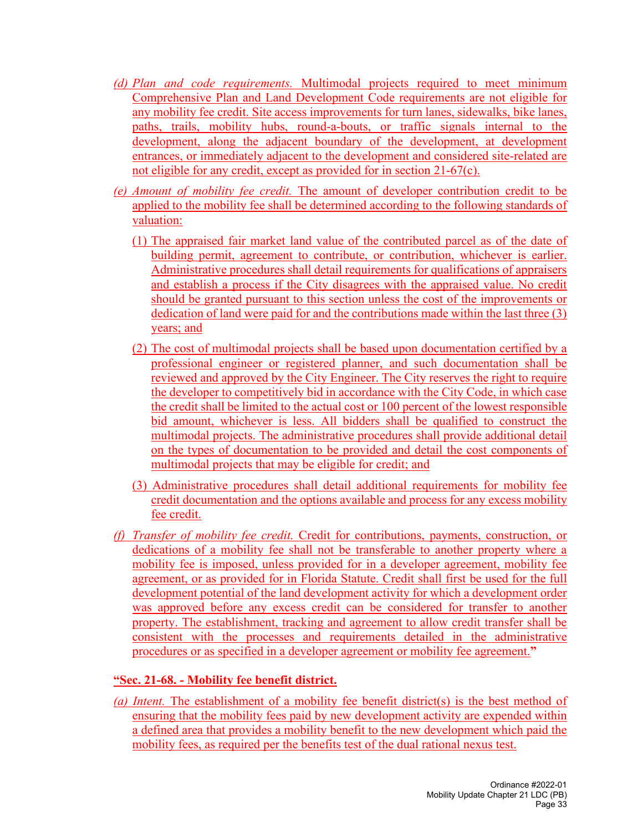- *(d) Plan and code requirements.* Multimodal projects required to meet minimum Comprehensive Plan and Land Development Code requirements are not eligible for any mobility fee credit. Site access improvements for turn lanes, sidewalks, bike lanes, paths, trails, mobility hubs, round-a-bouts, or traffic signals internal to the development, along the adjacent boundary of the development, at development entrances, or immediately adjacent to the development and considered site-related are not eligible for any credit, except as provided for in section 21-67(c).
- *(e) Amount of mobility fee credit.* The amount of developer contribution credit to be applied to the mobility fee shall be determined according to the following standards of valuation:
	- (1) The appraised fair market land value of the contributed parcel as of the date of building permit, agreement to contribute, or contribution, whichever is earlier. Administrative procedures shall detail requirements for qualifications of appraisers and establish a process if the City disagrees with the appraised value. No credit should be granted pursuant to this section unless the cost of the improvements or dedication of land were paid for and the contributions made within the last three (3) years; and
	- (2) The cost of multimodal projects shall be based upon documentation certified by a professional engineer or registered planner, and such documentation shall be reviewed and approved by the City Engineer. The City reserves the right to require the developer to competitively bid in accordance with the City Code, in which case the credit shall be limited to the actual cost or 100 percent of the lowest responsible bid amount, whichever is less. All bidders shall be qualified to construct the multimodal projects. The administrative procedures shall provide additional detail on the types of documentation to be provided and detail the cost components of multimodal projects that may be eligible for credit; and
	- (3) Administrative procedures shall detail additional requirements for mobility fee credit documentation and the options available and process for any excess mobility fee credit.
- *(f) Transfer of mobility fee credit.* Credit for contributions, payments, construction, or dedications of a mobility fee shall not be transferable to another property where a mobility fee is imposed, unless provided for in a developer agreement, mobility fee agreement, or as provided for in Florida Statute. Credit shall first be used for the full development potential of the land development activity for which a development order was approved before any excess credit can be considered for transfer to another property. The establishment, tracking and agreement to allow credit transfer shall be consistent with the processes and requirements detailed in the administrative procedures or as specified in a developer agreement or mobility fee agreement.**"**

#### **"Sec. 21-68. - Mobility fee benefit district.**

*(a) Intent.* The establishment of a mobility fee benefit district(s) is the best method of ensuring that the mobility fees paid by new development activity are expended within a defined area that provides a mobility benefit to the new development which paid the mobility fees, as required per the benefits test of the dual rational nexus test.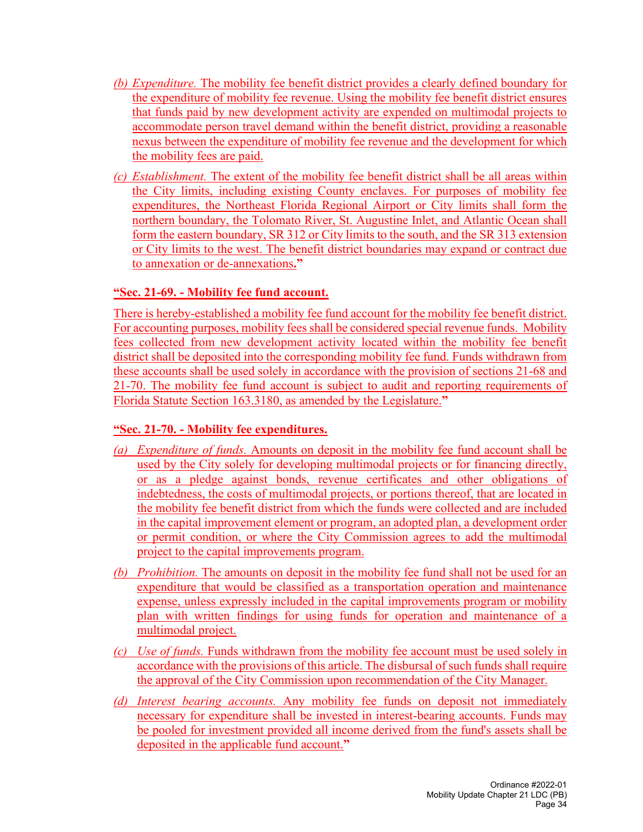- *(b) Expenditure.* The mobility fee benefit district provides a clearly defined boundary for the expenditure of mobility fee revenue. Using the mobility fee benefit district ensures that funds paid by new development activity are expended on multimodal projects to accommodate person travel demand within the benefit district, providing a reasonable nexus between the expenditure of mobility fee revenue and the development for which the mobility fees are paid.
- *(c) Establishment.* The extent of the mobility fee benefit district shall be all areas within the City limits, including existing County enclaves. For purposes of mobility fee expenditures, the Northeast Florida Regional Airport or City limits shall form the northern boundary, the Tolomato River, St. Augustine Inlet, and Atlantic Ocean shall form the eastern boundary, SR 312 or City limits to the south, and the SR 313 extension or City limits to the west. The benefit district boundaries may expand or contract due to annexation or de-annexations**."**

#### **"Sec. 21-69. - Mobility fee fund account.**

There is hereby-established a mobility fee fund account for the mobility fee benefit district. For accounting purposes, mobility fees shall be considered special revenue funds. Mobility fees collected from new development activity located within the mobility fee benefit district shall be deposited into the corresponding mobility fee fund. Funds withdrawn from these accounts shall be used solely in accordance with the provision of sections 21-68 and 21-70. The mobility fee fund account is subject to audit and reporting requirements of Florida Statute Section 163.3180, as amended by the Legislature.**"**

#### **"Sec. 21-70. - Mobility fee expenditures.**

- *(a) Expenditure of funds.* Amounts on deposit in the mobility fee fund account shall be used by the City solely for developing multimodal projects or for financing directly, or as a pledge against bonds, revenue certificates and other obligations of indebtedness, the costs of multimodal projects, or portions thereof, that are located in the mobility fee benefit district from which the funds were collected and are included in the capital improvement element or program, an adopted plan, a development order or permit condition, or where the City Commission agrees to add the multimodal project to the capital improvements program.
- *(b) Prohibition.* The amounts on deposit in the mobility fee fund shall not be used for an expenditure that would be classified as a transportation operation and maintenance expense, unless expressly included in the capital improvements program or mobility plan with written findings for using funds for operation and maintenance of a multimodal project.
- *(c) Use of funds.* Funds withdrawn from the mobility fee account must be used solely in accordance with the provisions of this article. The disbursal of such funds shall require the approval of the City Commission upon recommendation of the City Manager.
- *(d) Interest bearing accounts.* Any mobility fee funds on deposit not immediately necessary for expenditure shall be invested in interest-bearing accounts. Funds may be pooled for investment provided all income derived from the fund's assets shall be deposited in the applicable fund account.**"**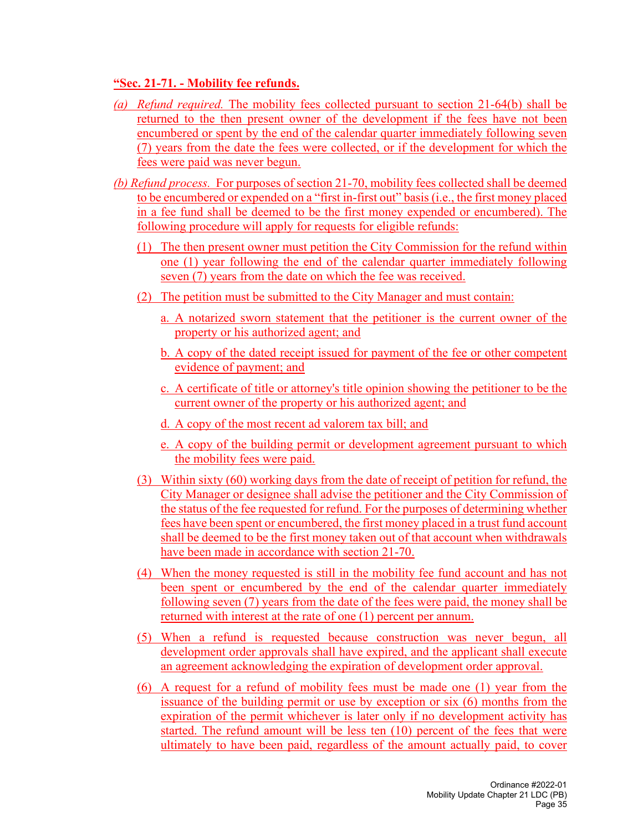#### **"Sec. 21-71. - Mobility fee refunds.**

- *(a) Refund required.* The mobility fees collected pursuant to section 21-64(b) shall be returned to the then present owner of the development if the fees have not been encumbered or spent by the end of the calendar quarter immediately following seven (7) years from the date the fees were collected, or if the development for which the fees were paid was never begun.
- *(b) Refund process.* For purposes of section 21-70, mobility fees collected shall be deemed to be encumbered or expended on a "first in-first out" basis (i.e., the first money placed in a fee fund shall be deemed to be the first money expended or encumbered). The following procedure will apply for requests for eligible refunds:
	- (1) The then present owner must petition the City Commission for the refund within one (1) year following the end of the calendar quarter immediately following seven (7) years from the date on which the fee was received.
	- (2) The petition must be submitted to the City Manager and must contain:
		- a. A notarized sworn statement that the petitioner is the current owner of the property or his authorized agent; and
		- b. A copy of the dated receipt issued for payment of the fee or other competent evidence of payment; and
		- c. A certificate of title or attorney's title opinion showing the petitioner to be the current owner of the property or his authorized agent; and
		- d. A copy of the most recent ad valorem tax bill; and
		- e. A copy of the building permit or development agreement pursuant to which the mobility fees were paid.
	- (3) Within sixty (60) working days from the date of receipt of petition for refund, the City Manager or designee shall advise the petitioner and the City Commission of the status of the fee requested for refund. For the purposes of determining whether fees have been spent or encumbered, the first money placed in a trust fund account shall be deemed to be the first money taken out of that account when withdrawals have been made in accordance with section 21-70.
	- (4) When the money requested is still in the mobility fee fund account and has not been spent or encumbered by the end of the calendar quarter immediately following seven (7) years from the date of the fees were paid, the money shall be returned with interest at the rate of one (1) percent per annum.
	- (5) When a refund is requested because construction was never begun, all development order approvals shall have expired, and the applicant shall execute an agreement acknowledging the expiration of development order approval.
	- (6) A request for a refund of mobility fees must be made one (1) year from the issuance of the building permit or use by exception or six (6) months from the expiration of the permit whichever is later only if no development activity has started. The refund amount will be less ten (10) percent of the fees that were ultimately to have been paid, regardless of the amount actually paid, to cover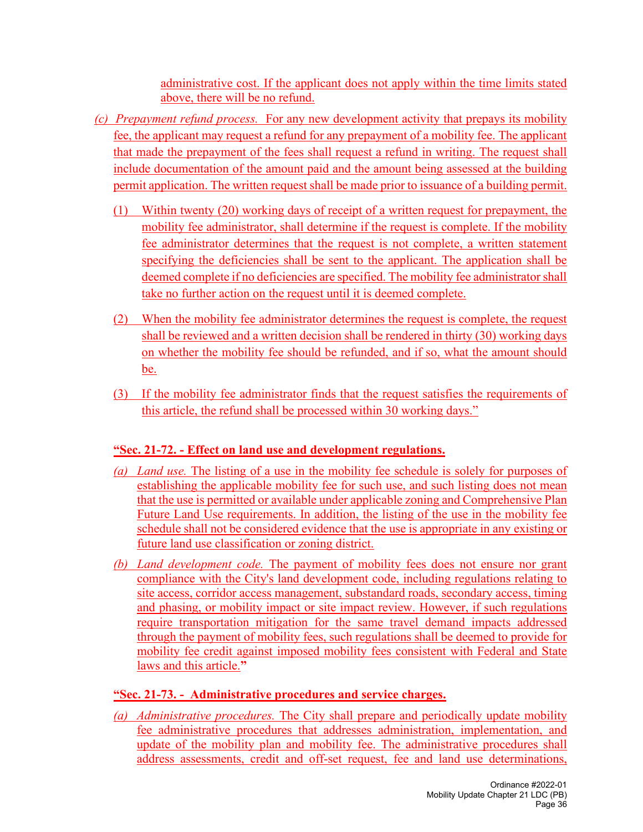administrative cost. If the applicant does not apply within the time limits stated above, there will be no refund.

- *(c) Prepayment refund process.* For any new development activity that prepays its mobility fee, the applicant may request a refund for any prepayment of a mobility fee. The applicant that made the prepayment of the fees shall request a refund in writing. The request shall include documentation of the amount paid and the amount being assessed at the building permit application. The written request shall be made prior to issuance of a building permit.
	- (1) Within twenty (20) working days of receipt of a written request for prepayment, the mobility fee administrator, shall determine if the request is complete. If the mobility fee administrator determines that the request is not complete, a written statement specifying the deficiencies shall be sent to the applicant. The application shall be deemed complete if no deficiencies are specified. The mobility fee administrator shall take no further action on the request until it is deemed complete.
	- (2) When the mobility fee administrator determines the request is complete, the request shall be reviewed and a written decision shall be rendered in thirty (30) working days on whether the mobility fee should be refunded, and if so, what the amount should be.
	- (3) If the mobility fee administrator finds that the request satisfies the requirements of this article, the refund shall be processed within 30 working days."

### **"Sec. 21-72. - Effect on land use and development regulations.**

- *(a) Land use.* The listing of a use in the mobility fee schedule is solely for purposes of establishing the applicable mobility fee for such use, and such listing does not mean that the use is permitted or available under applicable zoning and Comprehensive Plan Future Land Use requirements. In addition, the listing of the use in the mobility fee schedule shall not be considered evidence that the use is appropriate in any existing or future land use classification or zoning district.
- *(b) Land development code.* The payment of mobility fees does not ensure nor grant compliance with the City's land development code, including regulations relating to site access, corridor access management, substandard roads, secondary access, timing and phasing, or mobility impact or site impact review. However, if such regulations require transportation mitigation for the same travel demand impacts addressed through the payment of mobility fees, such regulations shall be deemed to provide for mobility fee credit against imposed mobility fees consistent with Federal and State laws and this article.**"**

# **"Sec. 21-73. - Administrative procedures and service charges.**

*(a) Administrative procedures.* The City shall prepare and periodically update mobility fee administrative procedures that addresses administration, implementation, and update of the mobility plan and mobility fee. The administrative procedures shall address assessments, credit and off-set request, fee and land use determinations,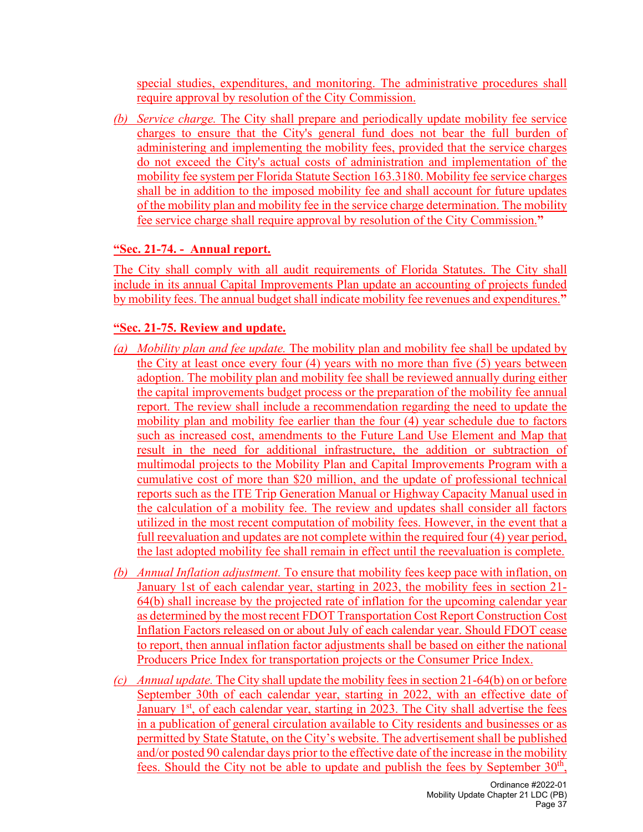special studies, expenditures, and monitoring. The administrative procedures shall require approval by resolution of the City Commission.

*(b) Service charge.* The City shall prepare and periodically update mobility fee service charges to ensure that the City's general fund does not bear the full burden of administering and implementing the mobility fees, provided that the service charges do not exceed the City's actual costs of administration and implementation of the mobility fee system per Florida Statute Section 163.3180. Mobility fee service charges shall be in addition to the imposed mobility fee and shall account for future updates of the mobility plan and mobility fee in the service charge determination. The mobility fee service charge shall require approval by resolution of the City Commission.**"**

#### **"Sec. 21-74. - Annual report.**

The City shall comply with all audit requirements of Florida Statutes. The City shall include in its annual Capital Improvements Plan update an accounting of projects funded by mobility fees. The annual budget shall indicate mobility fee revenues and expenditures.**"**

### **"Sec. 21-75. Review and update.**

- *(a) Mobility plan and fee update.* The mobility plan and mobility fee shall be updated by the City at least once every four (4) years with no more than five (5) years between adoption. The mobility plan and mobility fee shall be reviewed annually during either the capital improvements budget process or the preparation of the mobility fee annual report. The review shall include a recommendation regarding the need to update the mobility plan and mobility fee earlier than the four (4) year schedule due to factors such as increased cost, amendments to the Future Land Use Element and Map that result in the need for additional infrastructure, the addition or subtraction of multimodal projects to the Mobility Plan and Capital Improvements Program with a cumulative cost of more than \$20 million, and the update of professional technical reports such as the ITE Trip Generation Manual or Highway Capacity Manual used in the calculation of a mobility fee. The review and updates shall consider all factors utilized in the most recent computation of mobility fees. However, in the event that a full reevaluation and updates are not complete within the required four (4) year period, the last adopted mobility fee shall remain in effect until the reevaluation is complete.
- *(b) Annual Inflation adjustment.* To ensure that mobility fees keep pace with inflation, on January 1st of each calendar year, starting in 2023, the mobility fees in section 21- 64(b) shall increase by the projected rate of inflation for the upcoming calendar year as determined by the most recent FDOT Transportation Cost Report Construction Cost Inflation Factors released on or about July of each calendar year. Should FDOT cease to report, then annual inflation factor adjustments shall be based on either the national Producers Price Index for transportation projects or the Consumer Price Index.
- *(c) Annual update.* The City shall update the mobility fees in section 21-64(b) on or before September 30th of each calendar year, starting in 2022, with an effective date of January  $1<sup>st</sup>$ , of each calendar year, starting in 2023. The City shall advertise the fees in a publication of general circulation available to City residents and businesses or as permitted by State Statute, on the City's website. The advertisement shall be published and/or posted 90 calendar days prior to the effective date of the increase in the mobility fees. Should the City not be able to update and publish the fees by September  $30<sup>th</sup>$ ,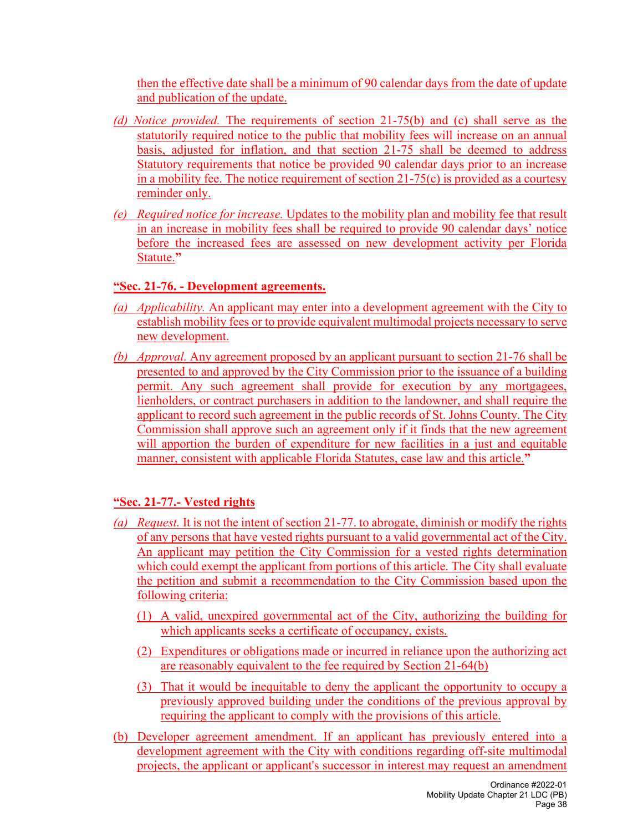then the effective date shall be a minimum of 90 calendar days from the date of update and publication of the update.

- *(d) Notice provided.* The requirements of section 21-75(b) and (c) shall serve as the statutorily required notice to the public that mobility fees will increase on an annual basis, adjusted for inflation, and that section 21-75 shall be deemed to address Statutory requirements that notice be provided 90 calendar days prior to an increase in a mobility fee. The notice requirement of section  $21-75(c)$  is provided as a courtesy reminder only.
- *(e) Required notice for increase.* Updates to the mobility plan and mobility fee that result in an increase in mobility fees shall be required to provide 90 calendar days' notice before the increased fees are assessed on new development activity per Florida Statute.**"**

#### **"Sec. 21-76. - Development agreements.**

- *(a) Applicability.* An applicant may enter into a development agreement with the City to establish mobility fees or to provide equivalent multimodal projects necessary to serve new development.
- *(b) Approval.* Any agreement proposed by an applicant pursuant to section 21-76 shall be presented to and approved by the City Commission prior to the issuance of a building permit. Any such agreement shall provide for execution by any mortgagees, lienholders, or contract purchasers in addition to the landowner, and shall require the applicant to record such agreement in the public records of St. Johns County. The City Commission shall approve such an agreement only if it finds that the new agreement will apportion the burden of expenditure for new facilities in a just and equitable manner, consistent with applicable Florida Statutes, case law and this article.**"**

### **"Sec. 21-77.- Vested rights**

- *(a) Request.* It is not the intent of section 21-77. to abrogate, diminish or modify the rights of any persons that have vested rights pursuant to a valid governmental act of the City. An applicant may petition the City Commission for a vested rights determination which could exempt the applicant from portions of this article. The City shall evaluate the petition and submit a recommendation to the City Commission based upon the following criteria:
	- (1) A valid, unexpired governmental act of the City, authorizing the building for which applicants seeks a certificate of occupancy, exists.
	- (2) Expenditures or obligations made or incurred in reliance upon the authorizing act are reasonably equivalent to the fee required by Section 21-64(b)
	- (3) That it would be inequitable to deny the applicant the opportunity to occupy a previously approved building under the conditions of the previous approval by requiring the applicant to comply with the provisions of this article.
- (b) Developer agreement amendment. If an applicant has previously entered into a development agreement with the City with conditions regarding off-site multimodal projects, the applicant or applicant's successor in interest may request an amendment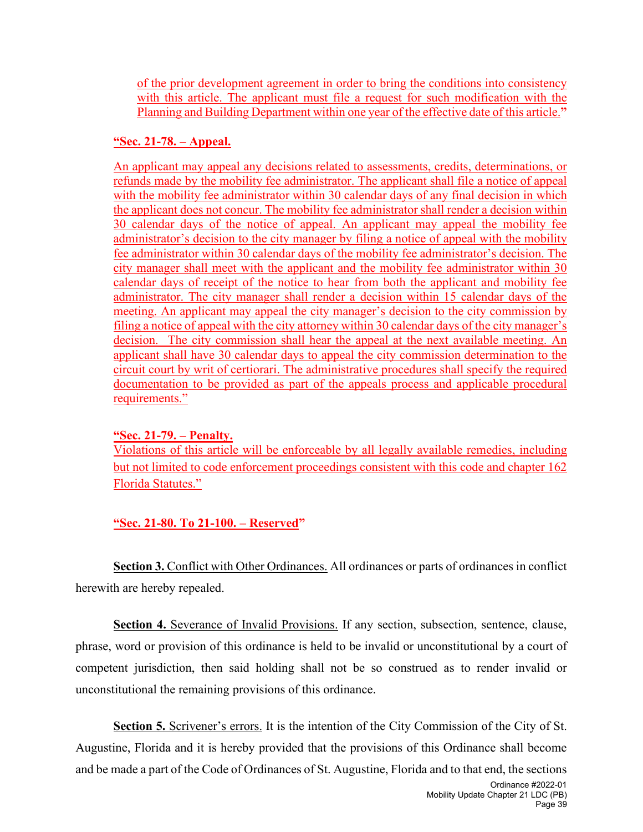of the prior development agreement in order to bring the conditions into consistency with this article. The applicant must file a request for such modification with the Planning and Building Department within one year of the effective date of this article.**"**

#### **"Sec. 21-78. – Appeal.**

An applicant may appeal any decisions related to assessments, credits, determinations, or refunds made by the mobility fee administrator. The applicant shall file a notice of appeal with the mobility fee administrator within 30 calendar days of any final decision in which the applicant does not concur. The mobility fee administrator shall render a decision within 30 calendar days of the notice of appeal. An applicant may appeal the mobility fee administrator's decision to the city manager by filing a notice of appeal with the mobility fee administrator within 30 calendar days of the mobility fee administrator's decision. The city manager shall meet with the applicant and the mobility fee administrator within 30 calendar days of receipt of the notice to hear from both the applicant and mobility fee administrator. The city manager shall render a decision within 15 calendar days of the meeting. An applicant may appeal the city manager's decision to the city commission by filing a notice of appeal with the city attorney within 30 calendar days of the city manager's decision. The city commission shall hear the appeal at the next available meeting. An applicant shall have 30 calendar days to appeal the city commission determination to the circuit court by writ of certiorari. The administrative procedures shall specify the required documentation to be provided as part of the appeals process and applicable procedural requirements."

### **"Sec. 21-79. – Penalty.**

Violations of this article will be enforceable by all legally available remedies, including but not limited to code enforcement proceedings consistent with this code and chapter 162 Florida Statutes."

**"Sec. 21-80. To 21-100. – Reserved"**

**Section 3.** Conflict with Other Ordinances. All ordinances or parts of ordinances in conflict herewith are hereby repealed.

**Section 4.** Severance of Invalid Provisions. If any section, subsection, sentence, clause, phrase, word or provision of this ordinance is held to be invalid or unconstitutional by a court of competent jurisdiction, then said holding shall not be so construed as to render invalid or unconstitutional the remaining provisions of this ordinance.

**Section 5.** Scrivener's errors. It is the intention of the City Commission of the City of St. Augustine, Florida and it is hereby provided that the provisions of this Ordinance shall become and be made a part of the Code of Ordinances of St. Augustine, Florida and to that end, the sections